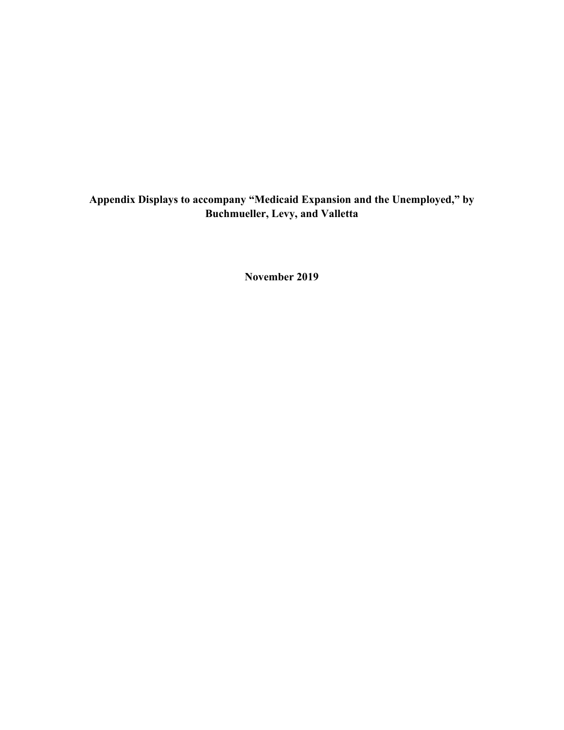# **Appendix Displays to accompany "Medicaid Expansion and the Unemployed," by Buchmueller, Levy, and Valletta**

**November 2019**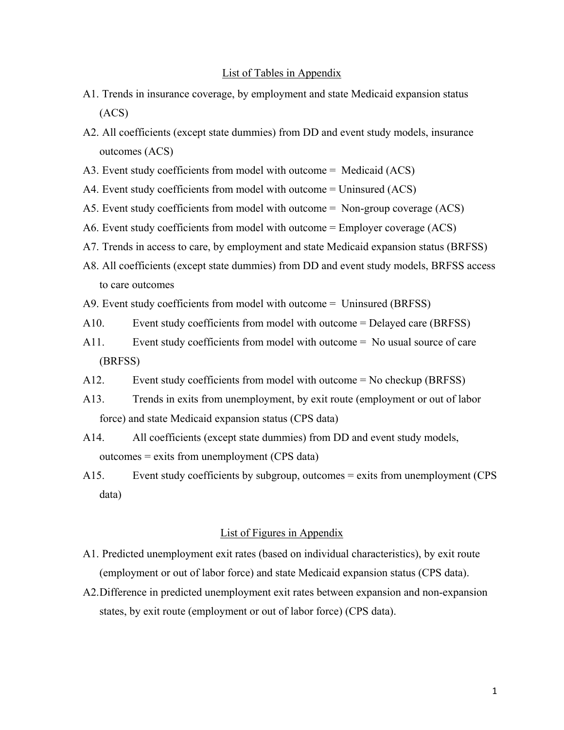#### List of Tables in Appendix

- A1. Trends in insurance coverage, by employment and state Medicaid expansion status (ACS)
- A2. All coefficients (except state dummies) from DD and event study models, insurance outcomes (ACS)
- A3. Event study coefficients from model with outcome = Medicaid (ACS)
- A4. Event study coefficients from model with outcome = Uninsured (ACS)
- A5. Event study coefficients from model with outcome = Non-group coverage (ACS)
- A6. Event study coefficients from model with outcome = Employer coverage (ACS)
- A7. Trends in access to care, by employment and state Medicaid expansion status (BRFSS)
- A8. All coefficients (except state dummies) from DD and event study models, BRFSS access to care outcomes
- A9. Event study coefficients from model with outcome = Uninsured (BRFSS)
- A10. Event study coefficients from model with outcome = Delayed care (BRFSS)
- A11. Event study coefficients from model with outcome = No usual source of care (BRFSS)
- A12. Event study coefficients from model with outcome = No checkup (BRFSS)
- A13. Trends in exits from unemployment, by exit route (employment or out of labor force) and state Medicaid expansion status (CPS data)
- A14. All coefficients (except state dummies) from DD and event study models, outcomes = exits from unemployment (CPS data)
- A15. Event study coefficients by subgroup, outcomes = exits from unemployment (CPS data)

#### List of Figures in Appendix

- A1. Predicted unemployment exit rates (based on individual characteristics), by exit route (employment or out of labor force) and state Medicaid expansion status (CPS data).
- A2.Difference in predicted unemployment exit rates between expansion and non-expansion states, by exit route (employment or out of labor force) (CPS data).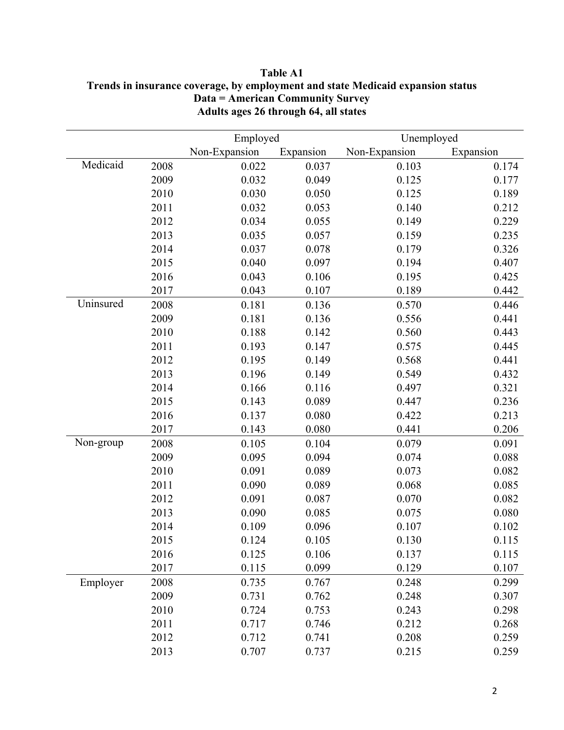|           |      | Employed      |           | Unemployed    |           |
|-----------|------|---------------|-----------|---------------|-----------|
|           |      | Non-Expansion | Expansion | Non-Expansion | Expansion |
| Medicaid  | 2008 | 0.022         | 0.037     | 0.103         | 0.174     |
|           | 2009 | 0.032         | 0.049     | 0.125         | 0.177     |
|           | 2010 | 0.030         | 0.050     | 0.125         | 0.189     |
|           | 2011 | 0.032         | 0.053     | 0.140         | 0.212     |
|           | 2012 | 0.034         | 0.055     | 0.149         | 0.229     |
|           | 2013 | 0.035         | 0.057     | 0.159         | 0.235     |
|           | 2014 | 0.037         | 0.078     | 0.179         | 0.326     |
|           | 2015 | 0.040         | 0.097     | 0.194         | 0.407     |
|           | 2016 | 0.043         | 0.106     | 0.195         | 0.425     |
|           | 2017 | 0.043         | 0.107     | 0.189         | 0.442     |
| Uninsured | 2008 | 0.181         | 0.136     | 0.570         | 0.446     |
|           | 2009 | 0.181         | 0.136     | 0.556         | 0.441     |
|           | 2010 | 0.188         | 0.142     | 0.560         | 0.443     |
|           | 2011 | 0.193         | 0.147     | 0.575         | 0.445     |
|           | 2012 | 0.195         | 0.149     | 0.568         | 0.441     |
|           | 2013 | 0.196         | 0.149     | 0.549         | 0.432     |
|           | 2014 | 0.166         | 0.116     | 0.497         | 0.321     |
|           | 2015 | 0.143         | 0.089     | 0.447         | 0.236     |
|           | 2016 | 0.137         | 0.080     | 0.422         | 0.213     |
|           | 2017 | 0.143         | 0.080     | 0.441         | 0.206     |
| Non-group | 2008 | 0.105         | 0.104     | 0.079         | 0.091     |
|           | 2009 | 0.095         | 0.094     | 0.074         | 0.088     |
|           | 2010 | 0.091         | 0.089     | 0.073         | 0.082     |
|           | 2011 | 0.090         | 0.089     | 0.068         | 0.085     |
|           | 2012 | 0.091         | 0.087     | 0.070         | 0.082     |
|           | 2013 | 0.090         | 0.085     | 0.075         | 0.080     |
|           | 2014 | 0.109         | 0.096     | 0.107         | 0.102     |
|           | 2015 | 0.124         | 0.105     | 0.130         | 0.115     |
|           | 2016 | 0.125         | 0.106     | 0.137         | 0.115     |
|           | 2017 | 0.115         | 0.099     | 0.129         | 0.107     |
| Employer  | 2008 | 0.735         | 0.767     | 0.248         | 0.299     |
|           | 2009 | 0.731         | 0.762     | 0.248         | 0.307     |
|           | 2010 | 0.724         | 0.753     | 0.243         | 0.298     |
|           | 2011 | 0.717         | 0.746     | 0.212         | 0.268     |
|           | 2012 | 0.712         | 0.741     | 0.208         | 0.259     |
|           | 2013 | 0.707         | 0.737     | 0.215         | 0.259     |

## **Table A1 Trends in insurance coverage, by employment and state Medicaid expansion status Data = American Community Survey Adults ages 26 through 64, all states**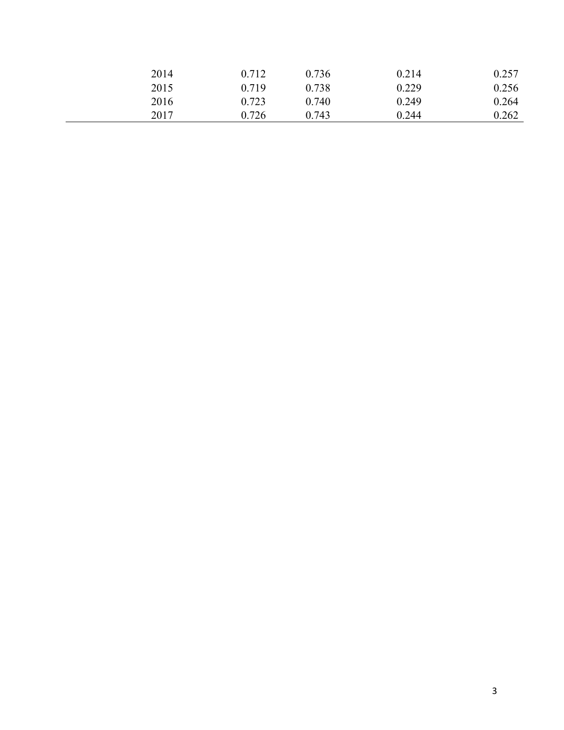| 2014 | 0.712 | 0.736 | 0.214 | 0.257 |
|------|-------|-------|-------|-------|
| 2015 | 0.719 | 0.738 | 0.229 | 0.256 |
| 2016 | 0.723 | 0.740 | 0.249 | 0.264 |
| 2017 | 0.726 | 0.743 | 0.244 | 0.262 |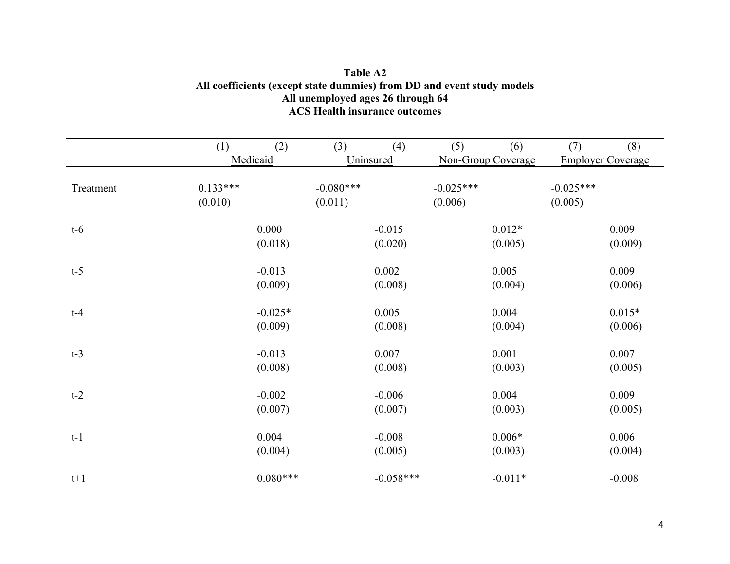|           | (1)        | (2)        | (3)         | (4)         | (5)         | (6)                | (7)         | (8)                      |
|-----------|------------|------------|-------------|-------------|-------------|--------------------|-------------|--------------------------|
|           |            | Medicaid   |             | Uninsured   |             | Non-Group Coverage |             | <b>Employer Coverage</b> |
| Treatment | $0.133***$ |            | $-0.080***$ |             | $-0.025***$ |                    | $-0.025***$ |                          |
|           | (0.010)    |            | (0.011)     |             | (0.006)     |                    | (0.005)     |                          |
|           |            |            |             |             |             |                    |             |                          |
| $t-6$     |            | 0.000      |             | $-0.015$    |             | $0.012*$           |             | 0.009                    |
|           |            | (0.018)    |             | (0.020)     |             | (0.005)            |             | (0.009)                  |
| $t-5$     |            | $-0.013$   |             | 0.002       |             | 0.005              |             | 0.009                    |
|           |            | (0.009)    |             | (0.008)     |             | (0.004)            |             | (0.006)                  |
| $t-4$     |            | $-0.025*$  |             | 0.005       |             | 0.004              |             | $0.015*$                 |
|           |            | (0.009)    |             | (0.008)     |             | (0.004)            |             | (0.006)                  |
| $t-3$     |            | $-0.013$   |             | 0.007       |             | 0.001              |             | 0.007                    |
|           |            | (0.008)    |             | (0.008)     |             | (0.003)            |             | (0.005)                  |
| $t-2$     |            | $-0.002$   |             | $-0.006$    |             | 0.004              |             | 0.009                    |
|           |            | (0.007)    |             | (0.007)     |             | (0.003)            |             | (0.005)                  |
| $t-1$     |            | 0.004      |             | $-0.008$    |             | $0.006*$           |             | 0.006                    |
|           |            | (0.004)    |             | (0.005)     |             | (0.003)            |             | (0.004)                  |
| $t+1$     |            | $0.080***$ |             | $-0.058***$ |             | $-0.011*$          |             | $-0.008$                 |

### **Table A2 All coefficients (except state dummies) from DD and event study models All unemployed ages 26 through 64 ACS Health insurance outcomes**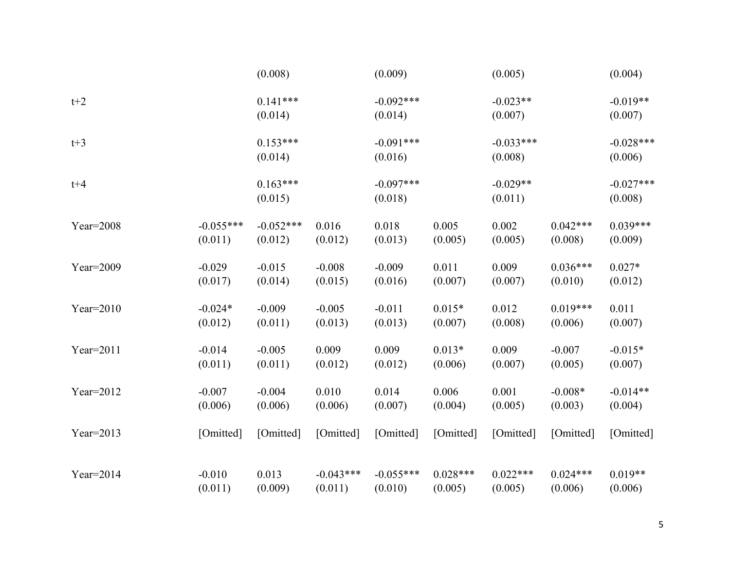|              |             | (0.008)               |             | (0.009)                |            | (0.005)                |            | (0.004)                |
|--------------|-------------|-----------------------|-------------|------------------------|------------|------------------------|------------|------------------------|
| $t+2$        |             | $0.141***$<br>(0.014) |             | $-0.092***$<br>(0.014) |            | $-0.023**$<br>(0.007)  |            | $-0.019**$<br>(0.007)  |
| $t+3$        |             | $0.153***$<br>(0.014) |             | $-0.091***$<br>(0.016) |            | $-0.033***$<br>(0.008) |            | $-0.028***$<br>(0.006) |
| $t + 4$      |             | $0.163***$<br>(0.015) |             | $-0.097***$<br>(0.018) |            | $-0.029**$<br>(0.011)  |            | $-0.027***$<br>(0.008) |
| Year=2008    | $-0.055***$ | $-0.052***$           | 0.016       | 0.018                  | 0.005      | 0.002                  | $0.042***$ | $0.039***$             |
|              | (0.011)     | (0.012)               | (0.012)     | (0.013)                | (0.005)    | (0.005)                | (0.008)    | (0.009)                |
| Year= $2009$ | $-0.029$    | $-0.015$              | $-0.008$    | $-0.009$               | 0.011      | 0.009                  | $0.036***$ | $0.027*$               |
|              | (0.017)     | (0.014)               | (0.015)     | (0.016)                | (0.007)    | (0.007)                | (0.010)    | (0.012)                |
| Year= $2010$ | $-0.024*$   | $-0.009$              | $-0.005$    | $-0.011$               | $0.015*$   | 0.012                  | $0.019***$ | 0.011                  |
|              | (0.012)     | (0.011)               | (0.013)     | (0.013)                | (0.007)    | (0.008)                | (0.006)    | (0.007)                |
| Year=2011    | $-0.014$    | $-0.005$              | 0.009       | 0.009                  | $0.013*$   | 0.009                  | $-0.007$   | $-0.015*$              |
|              | (0.011)     | (0.011)               | (0.012)     | (0.012)                | (0.006)    | (0.007)                | (0.005)    | (0.007)                |
| Year= $2012$ | $-0.007$    | $-0.004$              | 0.010       | 0.014                  | 0.006      | 0.001                  | $-0.008*$  | $-0.014**$             |
|              | (0.006)     | (0.006)               | (0.006)     | (0.007)                | (0.004)    | (0.005)                | (0.003)    | (0.004)                |
| Year=2013    | [Omitted]   | [Omitted]             | [Omitted]   | [Omitted]              | [Omitted]  | [Omitted]              | [Omitted]  | [Omitted]              |
| $Year=2014$  | $-0.010$    | 0.013                 | $-0.043***$ | $-0.055***$            | $0.028***$ | $0.022***$             | $0.024***$ | $0.019**$              |
|              | (0.011)     | (0.009)               | (0.011)     | (0.010)                | (0.005)    | (0.005)                | (0.006)    | (0.006)                |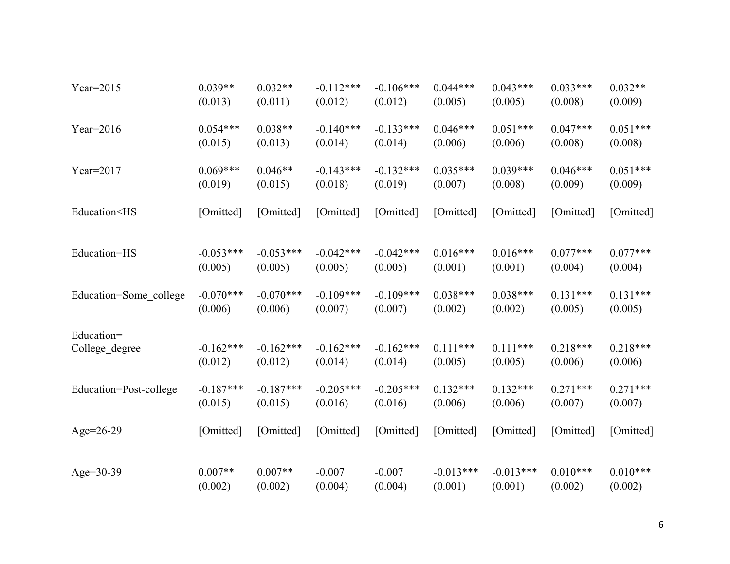| Year= $2015$                                                                                                                                                                | $0.039**$   | $0.032**$   | $-0.112***$ | $-0.106***$ | $0.044***$  | $0.043***$  | $0.033***$ | $0.032**$  |
|-----------------------------------------------------------------------------------------------------------------------------------------------------------------------------|-------------|-------------|-------------|-------------|-------------|-------------|------------|------------|
|                                                                                                                                                                             | (0.013)     | (0.011)     | (0.012)     | (0.012)     | (0.005)     | (0.005)     | (0.008)    | (0.009)    |
| Year= $2016$                                                                                                                                                                | $0.054***$  | $0.038**$   | $-0.140***$ | $-0.133***$ | $0.046***$  | $0.051***$  | $0.047***$ | $0.051***$ |
|                                                                                                                                                                             | (0.015)     | (0.013)     | (0.014)     | (0.014)     | (0.006)     | (0.006)     | (0.008)    | (0.008)    |
| Year=2017                                                                                                                                                                   | $0.069***$  | $0.046**$   | $-0.143***$ | $-0.132***$ | $0.035***$  | $0.039***$  | $0.046***$ | $0.051***$ |
|                                                                                                                                                                             | (0.019)     | (0.015)     | (0.018)     | (0.019)     | (0.007)     | (0.008)     | (0.009)    | (0.009)    |
| Education <hs< td=""><td>[Omitted]</td><td>[Omitted]</td><td>[Omitted]</td><td>[Omitted]</td><td>[Omitted]</td><td>[Omitted]</td><td>[Omitted]</td><td>[Omitted]</td></hs<> | [Omitted]   | [Omitted]   | [Omitted]   | [Omitted]   | [Omitted]   | [Omitted]   | [Omitted]  | [Omitted]  |
| Education=HS                                                                                                                                                                | $-0.053***$ | $-0.053***$ | $-0.042***$ | $-0.042***$ | $0.016***$  | $0.016***$  | $0.077***$ | $0.077***$ |
|                                                                                                                                                                             | (0.005)     | (0.005)     | (0.005)     | (0.005)     | (0.001)     | (0.001)     | (0.004)    | (0.004)    |
| Education=Some_college                                                                                                                                                      | $-0.070***$ | $-0.070***$ | $-0.109***$ | $-0.109***$ | $0.038***$  | $0.038***$  | $0.131***$ | $0.131***$ |
|                                                                                                                                                                             | (0.006)     | (0.006)     | (0.007)     | (0.007)     | (0.002)     | (0.002)     | (0.005)    | (0.005)    |
| Education=                                                                                                                                                                  | $-0.162***$ | $-0.162***$ | $-0.162***$ | $-0.162***$ | $0.111***$  | $0.111***$  | $0.218***$ | $0.218***$ |
| College_degree                                                                                                                                                              | (0.012)     | (0.012)     | (0.014)     | (0.014)     | (0.005)     | (0.005)     | (0.006)    | (0.006)    |
| Education=Post-college                                                                                                                                                      | $-0.187***$ | $-0.187***$ | $-0.205***$ | $-0.205***$ | $0.132***$  | $0.132***$  | $0.271***$ | $0.271***$ |
|                                                                                                                                                                             | (0.015)     | (0.015)     | (0.016)     | (0.016)     | (0.006)     | (0.006)     | (0.007)    | (0.007)    |
| Age= $26-29$                                                                                                                                                                | [Omitted]   | [Omitted]   | [Omitted]   | [Omitted]   | [Omitted]   | [Omitted]   | [Omitted]  | [Omitted]  |
| Age= $30-39$                                                                                                                                                                | $0.007**$   | $0.007**$   | $-0.007$    | $-0.007$    | $-0.013***$ | $-0.013***$ | $0.010***$ | $0.010***$ |
|                                                                                                                                                                             | (0.002)     | (0.002)     | (0.004)     | (0.004)     | (0.001)     | (0.001)     | (0.002)    | (0.002)    |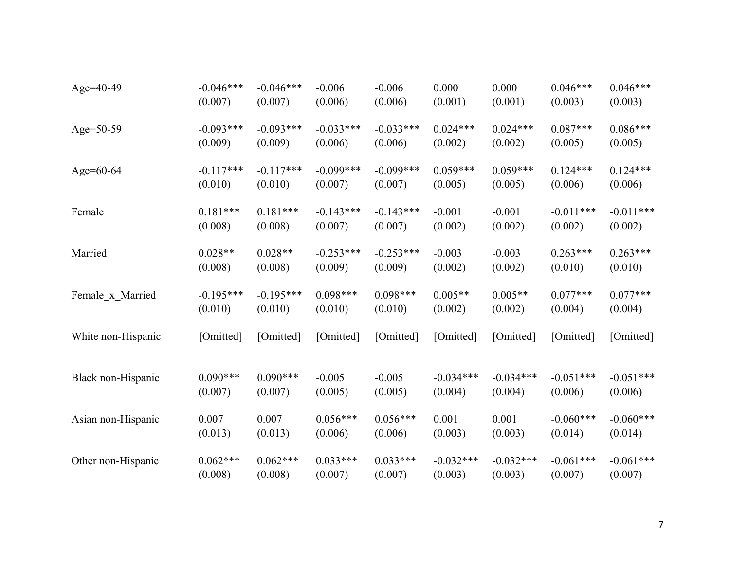| Age=40-49          | $-0.046***$ | $-0.046***$ | $-0.006$    | $-0.006$    | 0.000       | 0.000       | $0.046***$  | $0.046***$  |
|--------------------|-------------|-------------|-------------|-------------|-------------|-------------|-------------|-------------|
|                    | (0.007)     | (0.007)     | (0.006)     | (0.006)     | (0.001)     | (0.001)     | (0.003)     | (0.003)     |
| Age=50-59          | $-0.093***$ | $-0.093***$ | $-0.033***$ | $-0.033***$ | $0.024***$  | $0.024***$  | $0.087***$  | $0.086***$  |
|                    | (0.009)     | (0.009)     | (0.006)     | (0.006)     | (0.002)     | (0.002)     | (0.005)     | (0.005)     |
| Age= $60-64$       | $-0.117***$ | $-0.117***$ | $-0.099***$ | $-0.099***$ | $0.059***$  | $0.059***$  | $0.124***$  | $0.124***$  |
|                    | (0.010)     | (0.010)     | (0.007)     | (0.007)     | (0.005)     | (0.005)     | (0.006)     | (0.006)     |
| Female             | $0.181***$  | $0.181***$  | $-0.143***$ | $-0.143***$ | $-0.001$    | $-0.001$    | $-0.011***$ | $-0.011***$ |
|                    | (0.008)     | (0.008)     | (0.007)     | (0.007)     | (0.002)     | (0.002)     | (0.002)     | (0.002)     |
| Married            | $0.028**$   | $0.028**$   | $-0.253***$ | $-0.253***$ | $-0.003$    | $-0.003$    | $0.263***$  | $0.263***$  |
|                    | (0.008)     | (0.008)     | (0.009)     | (0.009)     | (0.002)     | (0.002)     | (0.010)     | (0.010)     |
| Female_x_Married   | $-0.195***$ | $-0.195***$ | $0.098***$  | $0.098***$  | $0.005**$   | $0.005**$   | $0.077***$  | $0.077***$  |
|                    | (0.010)     | (0.010)     | (0.010)     | (0.010)     | (0.002)     | (0.002)     | (0.004)     | (0.004)     |
| White non-Hispanic | [Omitted]   | [Omitted]   | [Omitted]   | [Omitted]   | [Omitted]   | [Omitted]   | [Omitted]   | [Omitted]   |
| Black non-Hispanic | $0.090***$  | $0.090***$  | $-0.005$    | $-0.005$    | $-0.034***$ | $-0.034***$ | $-0.051***$ | $-0.051***$ |
|                    | (0.007)     | (0.007)     | (0.005)     | (0.005)     | (0.004)     | (0.004)     | (0.006)     | (0.006)     |
| Asian non-Hispanic | 0.007       | 0.007       | $0.056***$  | $0.056***$  | 0.001       | 0.001       | $-0.060***$ | $-0.060***$ |
|                    | (0.013)     | (0.013)     | (0.006)     | (0.006)     | (0.003)     | (0.003)     | (0.014)     | (0.014)     |
| Other non-Hispanic | $0.062***$  | $0.062***$  | $0.033***$  | $0.033***$  | $-0.032***$ | $-0.032***$ | $-0.061***$ | $-0.061***$ |
|                    | (0.008)     | (0.008)     | (0.007)     | (0.007)     | (0.003)     | (0.003)     | (0.007)     | (0.007)     |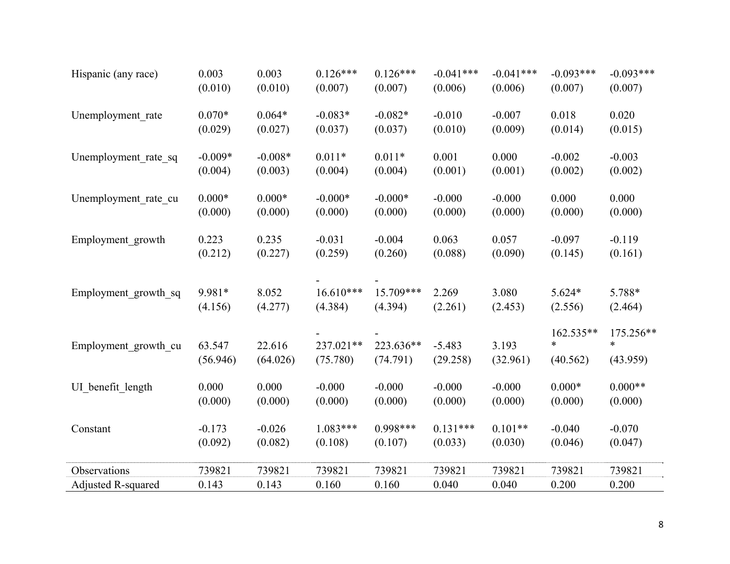| Hispanic (any race)  | 0.003              | 0.003              | $0.126***$            | $0.126***$            | $-0.041***$          | $-0.041***$       | $-0.093***$                     | $-0.093***$                     |
|----------------------|--------------------|--------------------|-----------------------|-----------------------|----------------------|-------------------|---------------------------------|---------------------------------|
|                      | (0.010)            | (0.010)            | (0.007)               | (0.007)               | (0.006)              | (0.006)           | (0.007)                         | (0.007)                         |
| Unemployment rate    | $0.070*$           | $0.064*$           | $-0.083*$             | $-0.082*$             | $-0.010$             | $-0.007$          | 0.018                           | 0.020                           |
|                      | (0.029)            | (0.027)            | (0.037)               | (0.037)               | (0.010)              | (0.009)           | (0.014)                         | (0.015)                         |
| Unemployment_rate_sq | $-0.009*$          | $-0.008*$          | $0.011*$              | $0.011*$              | 0.001                | 0.000             | $-0.002$                        | $-0.003$                        |
|                      | (0.004)            | (0.003)            | (0.004)               | (0.004)               | (0.001)              | (0.001)           | (0.002)                         | (0.002)                         |
| Unemployment_rate_cu | $0.000*$           | $0.000*$           | $-0.000*$             | $-0.000*$             | $-0.000$             | $-0.000$          | 0.000                           | 0.000                           |
|                      | (0.000)            | (0.000)            | (0.000)               | (0.000)               | (0.000)              | (0.000)           | (0.000)                         | (0.000)                         |
| Employment growth    | 0.223              | 0.235              | $-0.031$              | $-0.004$              | 0.063                | 0.057             | $-0.097$                        | $-0.119$                        |
|                      | (0.212)            | (0.227)            | (0.259)               | (0.260)               | (0.088)              | (0.090)           | (0.145)                         | (0.161)                         |
| Employment growth sq | 9.981*             | 8.052              | $16.610***$           | 15.709***             | 2.269                | 3.080             | $5.624*$                        | 5.788*                          |
|                      | (4.156)            | (4.277)            | (4.384)               | (4.394)               | (2.261)              | (2.453)           | (2.556)                         | (2.464)                         |
| Employment growth cu | 63.547<br>(56.946) | 22.616<br>(64.026) | 237.021**<br>(75.780) | 223.636**<br>(74.791) | $-5.483$<br>(29.258) | 3.193<br>(32.961) | 162.535**<br>$\ast$<br>(40.562) | 175.256**<br>$\ast$<br>(43.959) |
| UI benefit length    | 0.000              | 0.000              | $-0.000$              | $-0.000$              | $-0.000$             | $-0.000$          | $0.000*$                        | $0.000**$                       |
|                      | (0.000)            | (0.000)            | (0.000)               | (0.000)               | (0.000)              | (0.000)           | (0.000)                         | (0.000)                         |
| Constant             | $-0.173$           | $-0.026$           | $1.083***$            | $0.998***$            | $0.131***$           | $0.101**$         | $-0.040$                        | $-0.070$                        |
|                      | (0.092)            | (0.082)            | (0.108)               | (0.107)               | (0.033)              | (0.030)           | (0.046)                         | (0.047)                         |
| Observations         | 739821             | 739821             | 739821                | 739821                | 739821               | 739821            | 739821                          | 739821                          |
| Adjusted R-squared   | 0.143              | 0.143              | 0.160                 | 0.160                 | 0.040                | 0.040             | 0.200                           | 0.200                           |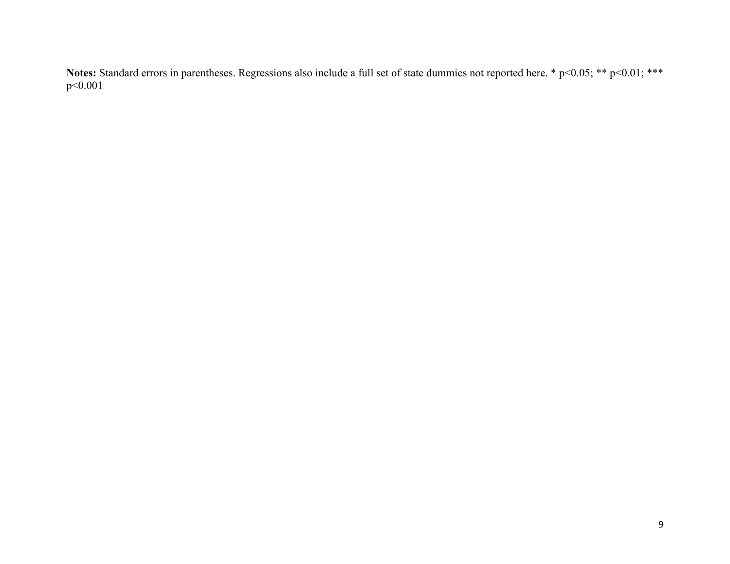Notes: Standard errors in parentheses. Regressions also include a full set of state dummies not reported here. \* p<0.05; \*\* p<0.01; \*\*\* p<0.001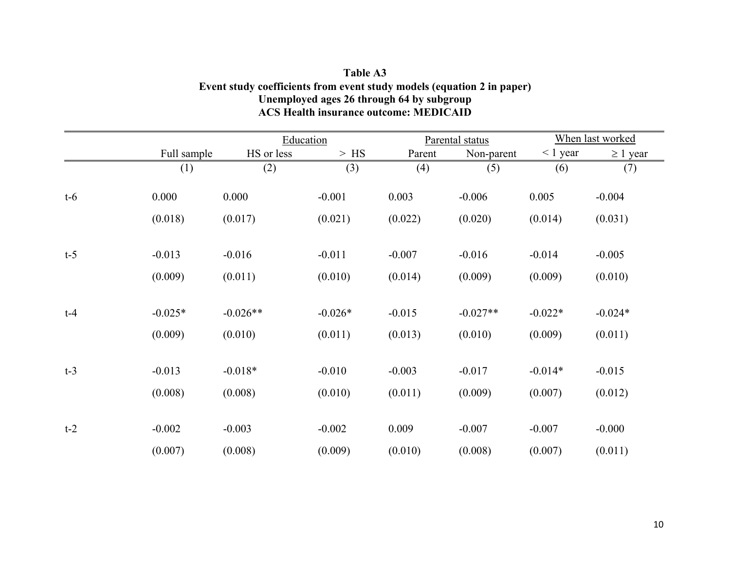### **Table A3 Event study coefficients from event study models (equation 2 in paper) Unemployed ages 26 through 64 by subgroup ACS Health insurance outcome: MEDICAID**

|       |             | Education  |           |          | Parental status | When last worked |               |  |
|-------|-------------|------------|-----------|----------|-----------------|------------------|---------------|--|
|       | Full sample | HS or less | $>$ HS    | Parent   | Non-parent      | $\leq 1$ year    | $\geq 1$ year |  |
|       | (1)         | (2)        | (3)       | (4)      | (5)             | (6)              | (7)           |  |
| $t-6$ | 0.000       | 0.000      | $-0.001$  | 0.003    | $-0.006$        | 0.005            | $-0.004$      |  |
|       | (0.018)     | (0.017)    | (0.021)   | (0.022)  | (0.020)         | (0.014)          | (0.031)       |  |
| $t-5$ | $-0.013$    | $-0.016$   | $-0.011$  | $-0.007$ | $-0.016$        | $-0.014$         | $-0.005$      |  |
|       | (0.009)     | (0.011)    | (0.010)   | (0.014)  | (0.009)         | (0.009)          | (0.010)       |  |
| $t-4$ | $-0.025*$   | $-0.026**$ | $-0.026*$ | $-0.015$ | $-0.027**$      | $-0.022*$        | $-0.024*$     |  |
|       | (0.009)     | (0.010)    | (0.011)   | (0.013)  | (0.010)         | (0.009)          | (0.011)       |  |
| $t-3$ | $-0.013$    | $-0.018*$  | $-0.010$  | $-0.003$ | $-0.017$        | $-0.014*$        | $-0.015$      |  |
|       | (0.008)     | (0.008)    | (0.010)   | (0.011)  | (0.009)         | (0.007)          | (0.012)       |  |
| $t-2$ | $-0.002$    | $-0.003$   | $-0.002$  | 0.009    | $-0.007$        | $-0.007$         | $-0.000$      |  |
|       | (0.007)     | (0.008)    | (0.009)   | (0.010)  | (0.008)         | (0.007)          | (0.011)       |  |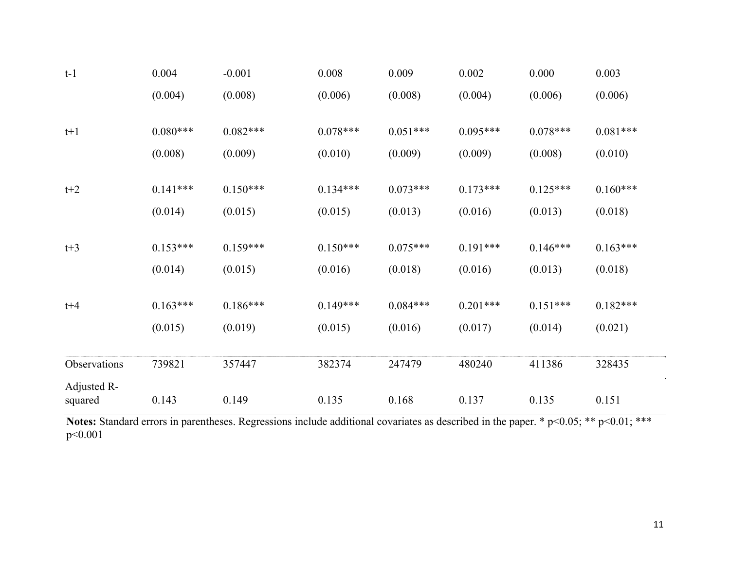| $t-1$        | 0.004      | $-0.001$   | 0.008      | 0.009      | 0.002      | 0.000      | 0.003      |
|--------------|------------|------------|------------|------------|------------|------------|------------|
|              | (0.004)    | (0.008)    | (0.006)    | (0.008)    | (0.004)    | (0.006)    | (0.006)    |
| $t+1$        | $0.080***$ | $0.082***$ | $0.078***$ | $0.051***$ | $0.095***$ | $0.078***$ | $0.081***$ |
|              |            |            |            |            |            |            |            |
|              | (0.008)    | (0.009)    | (0.010)    | (0.009)    | (0.009)    | (0.008)    | (0.010)    |
| $t+2$        | $0.141***$ | $0.150***$ | $0.134***$ | $0.073***$ | $0.173***$ | $0.125***$ | $0.160***$ |
|              |            |            |            |            |            |            |            |
|              | (0.014)    | (0.015)    | (0.015)    | (0.013)    | (0.016)    | (0.013)    | (0.018)    |
|              |            |            |            |            |            |            |            |
| $t+3$        | $0.153***$ | $0.159***$ | $0.150***$ | $0.075***$ | $0.191***$ | $0.146***$ | $0.163***$ |
|              | (0.014)    | (0.015)    | (0.016)    | (0.018)    | (0.016)    | (0.013)    | (0.018)    |
| $t + 4$      | $0.163***$ | $0.186***$ | $0.149***$ | $0.084***$ | $0.201***$ | $0.151***$ | $0.182***$ |
|              |            |            |            |            |            |            |            |
|              | (0.015)    | (0.019)    | (0.015)    | (0.016)    | (0.017)    | (0.014)    | (0.021)    |
| Observations | 739821     | 357447     | 382374     | 247479     | 480240     | 411386     | 328435     |
| Adjusted R-  |            |            |            |            |            |            |            |
| squared      | 0.143      | 0.149      | 0.135      | 0.168      | 0.137      | 0.135      | 0.151      |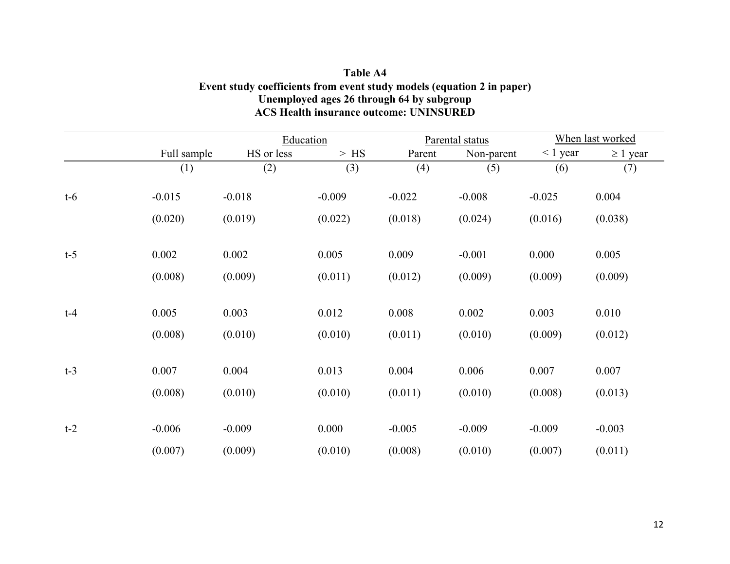### **Table A4 Event study coefficients from event study models (equation 2 in paper) Unemployed ages 26 through 64 by subgroup ACS Health insurance outcome: UNINSURED**

|       |             | Education  |          |          | Parental status | When last worked |               |  |
|-------|-------------|------------|----------|----------|-----------------|------------------|---------------|--|
|       | Full sample | HS or less | $>$ HS   | Parent   | Non-parent      | $< 1$ year       | $\geq 1$ year |  |
|       | (1)         | (2)        | (3)      | (4)      | (5)             | (6)              | (7)           |  |
| $t-6$ | $-0.015$    | $-0.018$   | $-0.009$ | $-0.022$ | $-0.008$        | $-0.025$         | 0.004         |  |
|       | (0.020)     | (0.019)    | (0.022)  | (0.018)  | (0.024)         | (0.016)          | (0.038)       |  |
| $t-5$ | 0.002       | 0.002      | 0.005    | 0.009    | $-0.001$        | 0.000            | 0.005         |  |
|       | (0.008)     | (0.009)    | (0.011)  | (0.012)  | (0.009)         | (0.009)          | (0.009)       |  |
| $t-4$ | 0.005       | 0.003      | 0.012    | 0.008    | 0.002           | 0.003            | 0.010         |  |
|       | (0.008)     | (0.010)    | (0.010)  | (0.011)  | (0.010)         | (0.009)          | (0.012)       |  |
| $t-3$ | 0.007       | 0.004      | 0.013    | 0.004    | 0.006           | 0.007            | 0.007         |  |
|       | (0.008)     | (0.010)    | (0.010)  | (0.011)  | (0.010)         | (0.008)          | (0.013)       |  |
| $t-2$ | $-0.006$    | $-0.009$   | 0.000    | $-0.005$ | $-0.009$        | $-0.009$         | $-0.003$      |  |
|       | (0.007)     | (0.009)    | (0.010)  | (0.008)  | (0.010)         | (0.007)          | (0.011)       |  |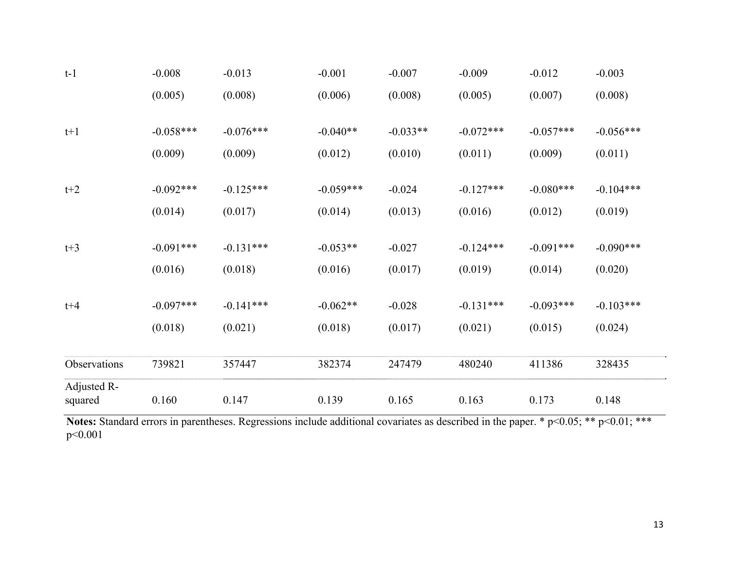| $t-1$        | $-0.008$    | $-0.013$    | $-0.001$    | $-0.007$   | $-0.009$    | $-0.012$    | $-0.003$    |
|--------------|-------------|-------------|-------------|------------|-------------|-------------|-------------|
|              | (0.005)     | (0.008)     | (0.006)     | (0.008)    | (0.005)     | (0.007)     | (0.008)     |
|              |             |             |             |            |             |             |             |
| $t+1$        | $-0.058***$ | $-0.076***$ | $-0.040**$  | $-0.033**$ | $-0.072***$ | $-0.057***$ | $-0.056***$ |
|              | (0.009)     | (0.009)     | (0.012)     | (0.010)    | (0.011)     | (0.009)     | (0.011)     |
|              |             |             |             |            |             |             |             |
| $t+2$        | $-0.092***$ | $-0.125***$ | $-0.059***$ | $-0.024$   | $-0.127***$ | $-0.080***$ | $-0.104***$ |
|              | (0.014)     | (0.017)     | (0.014)     | (0.013)    | (0.016)     | (0.012)     | (0.019)     |
|              |             |             |             |            |             |             |             |
| $t+3$        | $-0.091***$ | $-0.131***$ | $-0.053**$  | $-0.027$   | $-0.124***$ | $-0.091***$ | $-0.090***$ |
|              | (0.016)     | (0.018)     | (0.016)     | (0.017)    | (0.019)     | (0.014)     | (0.020)     |
|              |             |             |             |            |             |             |             |
| $t + 4$      | $-0.097***$ | $-0.141***$ | $-0.062**$  | $-0.028$   | $-0.131***$ | $-0.093***$ | $-0.103***$ |
|              | (0.018)     | (0.021)     | (0.018)     | (0.017)    | (0.021)     | (0.015)     | (0.024)     |
|              |             |             |             |            |             |             |             |
| Observations | 739821      | 357447      | 382374      | 247479     | 480240      | 411386      | 328435      |
| Adjusted R-  |             |             |             |            |             |             |             |
| squared      | 0.160       | 0.147       | 0.139       | 0.165      | 0.163       | 0.173       | 0.148       |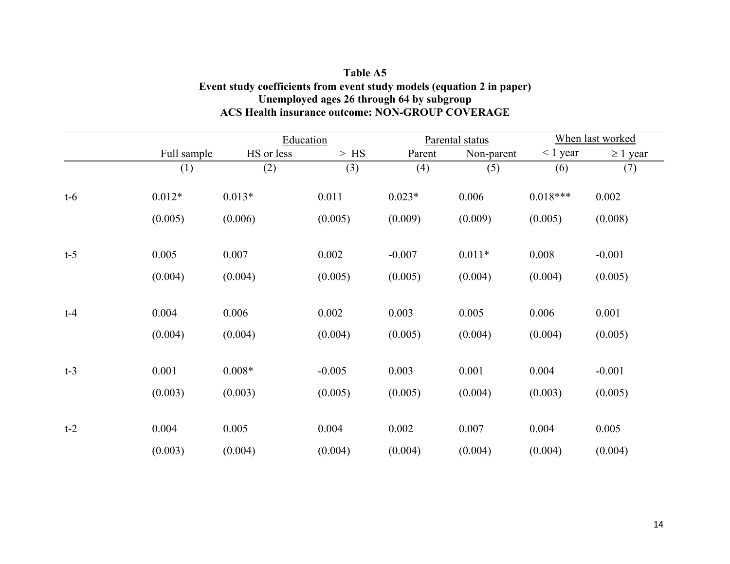### **Table A5 Event study coefficients from event study models (equation 2 in paper) Unemployed ages 26 through 64 by subgroup ACS Health insurance outcome: NON-GROUP COVERAGE**

|       |             | Education  |          |          | Parental status | When last worked |               |  |
|-------|-------------|------------|----------|----------|-----------------|------------------|---------------|--|
|       | Full sample | HS or less | $>$ HS   | Parent   | Non-parent      | $\leq 1$ year    | $\geq 1$ year |  |
|       | (1)         | (2)        | (3)      | (4)      | (5)             | (6)              | (7)           |  |
| $t-6$ | $0.012*$    | $0.013*$   | 0.011    | $0.023*$ | 0.006           | $0.018***$       | 0.002         |  |
|       | (0.005)     | (0.006)    | (0.005)  | (0.009)  | (0.009)         | (0.005)          | (0.008)       |  |
| $t-5$ | 0.005       | 0.007      | 0.002    | $-0.007$ | $0.011*$        | 0.008            | $-0.001$      |  |
|       | (0.004)     | (0.004)    | (0.005)  | (0.005)  | (0.004)         | (0.004)          | (0.005)       |  |
| $t-4$ | 0.004       | 0.006      | 0.002    | 0.003    | 0.005           | 0.006            | 0.001         |  |
|       | (0.004)     | (0.004)    | (0.004)  | (0.005)  | (0.004)         | (0.004)          | (0.005)       |  |
| $t-3$ | 0.001       | $0.008*$   | $-0.005$ | 0.003    | 0.001           | 0.004            | $-0.001$      |  |
|       | (0.003)     | (0.003)    | (0.005)  | (0.005)  | (0.004)         | (0.003)          | (0.005)       |  |
| $t-2$ | 0.004       | 0.005      | 0.004    | 0.002    | 0.007           | 0.004            | 0.005         |  |
|       | (0.003)     | (0.004)    | (0.004)  | (0.004)  | (0.004)         | (0.004)          | (0.004)       |  |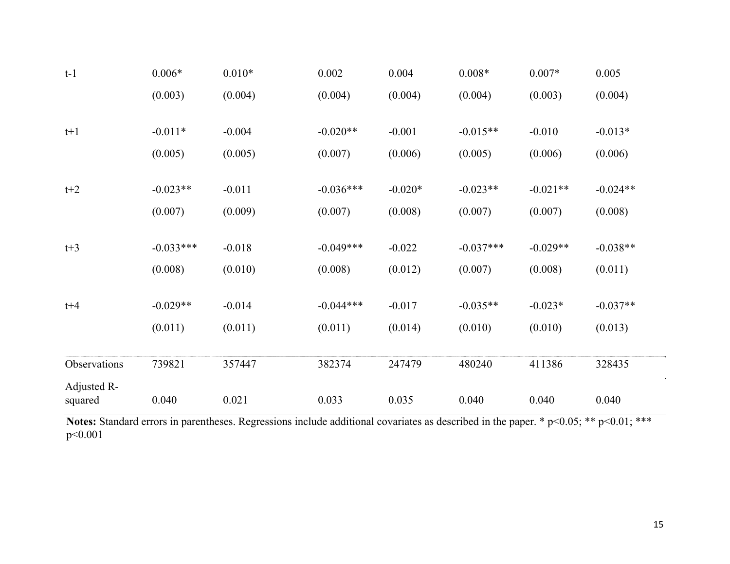| $t-1$        | $0.006*$    | $0.010*$ | 0.002       | 0.004     | $0.008*$    | $0.007*$   | 0.005      |
|--------------|-------------|----------|-------------|-----------|-------------|------------|------------|
|              | (0.003)     | (0.004)  | (0.004)     | (0.004)   | (0.004)     | (0.003)    | (0.004)    |
|              |             |          |             |           |             |            |            |
| $t+1$        | $-0.011*$   | $-0.004$ | $-0.020**$  | $-0.001$  | $-0.015**$  | $-0.010$   | $-0.013*$  |
|              | (0.005)     | (0.005)  | (0.007)     | (0.006)   | (0.005)     | (0.006)    | (0.006)    |
|              |             |          |             |           |             |            |            |
| $t+2$        | $-0.023**$  | $-0.011$ | $-0.036***$ | $-0.020*$ | $-0.023**$  | $-0.021**$ | $-0.024**$ |
|              | (0.007)     | (0.009)  | (0.007)     | (0.008)   | (0.007)     | (0.007)    | (0.008)    |
|              |             |          |             |           |             |            |            |
| $t+3$        | $-0.033***$ | $-0.018$ | $-0.049***$ | $-0.022$  | $-0.037***$ | $-0.029**$ | $-0.038**$ |
|              | (0.008)     | (0.010)  | (0.008)     | (0.012)   | (0.007)     | (0.008)    | (0.011)    |
|              |             |          |             |           |             |            |            |
| $t + 4$      | $-0.029**$  | $-0.014$ | $-0.044***$ | $-0.017$  | $-0.035**$  | $-0.023*$  | $-0.037**$ |
|              | (0.011)     | (0.011)  | (0.011)     | (0.014)   | (0.010)     | (0.010)    | (0.013)    |
|              |             |          |             |           |             |            |            |
| Observations | 739821      | 357447   | 382374      | 247479    | 480240      | 411386     | 328435     |
| Adjusted R-  |             |          |             |           |             |            |            |
| squared      | 0.040       | 0.021    | 0.033       | 0.035     | 0.040       | 0.040      | 0.040      |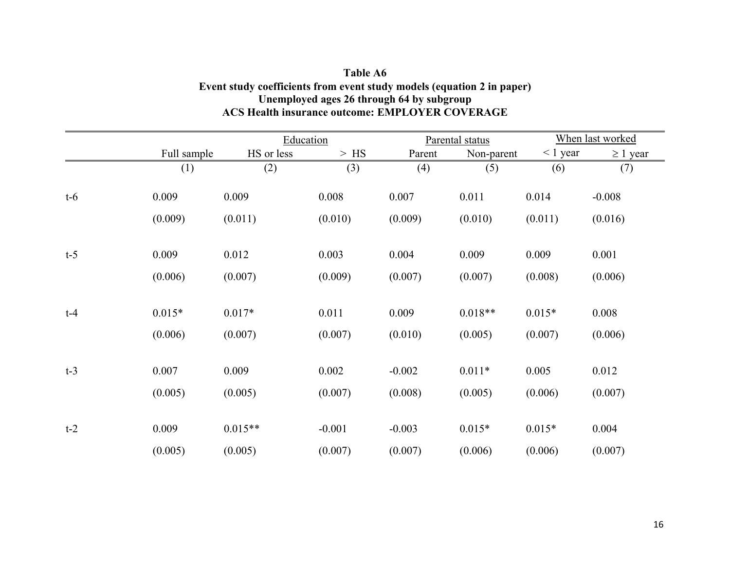### **Table A6 Event study coefficients from event study models (equation 2 in paper) Unemployed ages 26 through 64 by subgroup ACS Health insurance outcome: EMPLOYER COVERAGE**

|       |             | Education  |          |          | Parental status | When last worked |               |  |
|-------|-------------|------------|----------|----------|-----------------|------------------|---------------|--|
|       | Full sample | HS or less | $>$ HS   | Parent   | Non-parent      | $< 1$ year       | $\geq 1$ year |  |
|       | (1)         | (2)        | (3)      | (4)      | (5)             | (6)              | (7)           |  |
| $t-6$ | 0.009       | 0.009      | 0.008    | 0.007    | 0.011           | 0.014            | $-0.008$      |  |
|       | (0.009)     | (0.011)    | (0.010)  | (0.009)  | (0.010)         | (0.011)          | (0.016)       |  |
| $t-5$ | 0.009       | 0.012      | 0.003    | 0.004    | 0.009           | 0.009            | 0.001         |  |
|       | (0.006)     | (0.007)    | (0.009)  | (0.007)  | (0.007)         | (0.008)          | (0.006)       |  |
| $t-4$ | $0.015*$    | $0.017*$   | 0.011    | 0.009    | $0.018**$       | $0.015*$         | 0.008         |  |
|       | (0.006)     | (0.007)    | (0.007)  | (0.010)  | (0.005)         | (0.007)          | (0.006)       |  |
| $t-3$ | 0.007       | 0.009      | 0.002    | $-0.002$ | $0.011*$        | 0.005            | 0.012         |  |
|       | (0.005)     | (0.005)    | (0.007)  | (0.008)  | (0.005)         | (0.006)          | (0.007)       |  |
| $t-2$ | 0.009       | $0.015**$  | $-0.001$ | $-0.003$ | $0.015*$        | $0.015*$         | 0.004         |  |
|       | (0.005)     | (0.005)    | (0.007)  | (0.007)  | (0.006)         | (0.006)          | (0.007)       |  |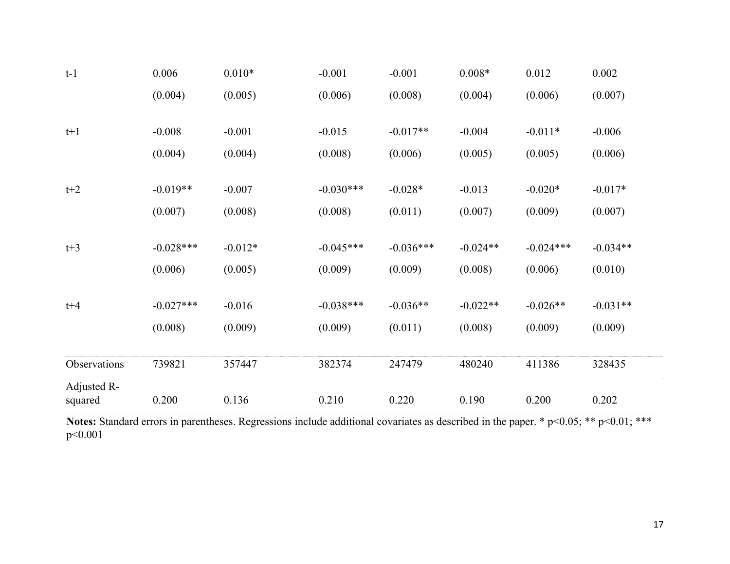| Adjusted R-<br>squared | 0.200       | 0.136     | 0.210       | 0.220       | 0.190      | 0.200       | 0.202      |
|------------------------|-------------|-----------|-------------|-------------|------------|-------------|------------|
| Observations           | 739821      | 357447    | 382374      | 247479      | 480240     | 411386      | 328435     |
|                        | (0.008)     | (0.009)   | (0.009)     | (0.011)     | (0.008)    | (0.009)     | (0.009)    |
| $t + 4$                | $-0.027***$ | $-0.016$  | $-0.038***$ | $-0.036**$  | $-0.022**$ | $-0.026**$  | $-0.031**$ |
|                        | (0.006)     | (0.005)   | (0.009)     | (0.009)     | (0.008)    | (0.006)     | (0.010)    |
| $t+3$                  | $-0.028***$ | $-0.012*$ | $-0.045***$ | $-0.036***$ | $-0.024**$ | $-0.024***$ | $-0.034**$ |
|                        | (0.007)     | (0.008)   | (0.008)     | (0.011)     | (0.007)    | (0.009)     | (0.007)    |
| $t+2$                  | $-0.019**$  | $-0.007$  | $-0.030***$ | $-0.028*$   | $-0.013$   | $-0.020*$   | $-0.017*$  |
|                        | (0.004)     | (0.004)   | (0.008)     | (0.006)     | (0.005)    | (0.005)     | (0.006)    |
| $t+1$                  | $-0.008$    | $-0.001$  | $-0.015$    | $-0.017**$  | $-0.004$   | $-0.011*$   | $-0.006$   |
|                        | (0.004)     | (0.005)   | (0.006)     | (0.008)     | (0.004)    | (0.006)     | (0.007)    |
| $t-1$                  | 0.006       | $0.010*$  | $-0.001$    | $-0.001$    | $0.008*$   | 0.012       | 0.002      |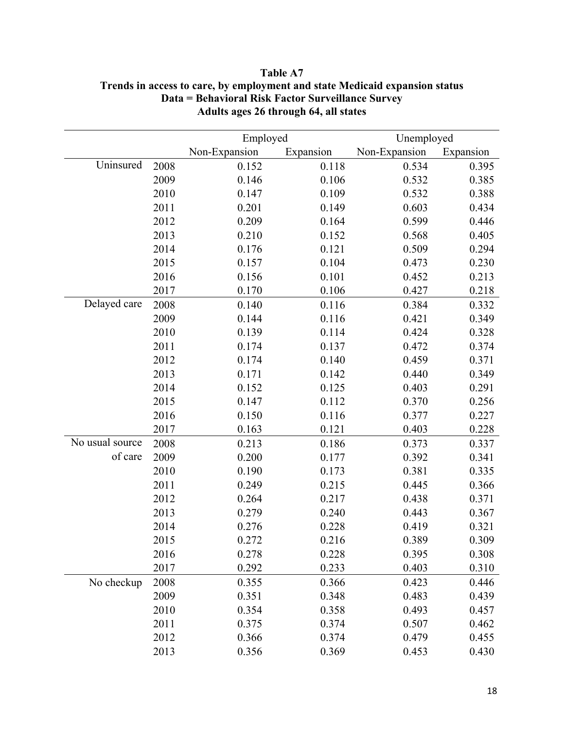|                 |      | Employed      |           | Unemployed    |           |  |  |
|-----------------|------|---------------|-----------|---------------|-----------|--|--|
|                 |      | Non-Expansion | Expansion | Non-Expansion | Expansion |  |  |
| Uninsured       | 2008 | 0.152         | 0.118     | 0.534         | 0.395     |  |  |
|                 | 2009 | 0.146         | 0.106     | 0.532         | 0.385     |  |  |
|                 | 2010 | 0.147         | 0.109     | 0.532         | 0.388     |  |  |
|                 | 2011 | 0.201         | 0.149     | 0.603         | 0.434     |  |  |
|                 | 2012 | 0.209         | 0.164     | 0.599         | 0.446     |  |  |
|                 | 2013 | 0.210         | 0.152     | 0.568         | 0.405     |  |  |
|                 | 2014 | 0.176         | 0.121     | 0.509         | 0.294     |  |  |
|                 | 2015 | 0.157         | 0.104     | 0.473         | 0.230     |  |  |
|                 | 2016 | 0.156         | 0.101     | 0.452         | 0.213     |  |  |
|                 | 2017 | 0.170         | 0.106     | 0.427         | 0.218     |  |  |
| Delayed care    | 2008 | 0.140         | 0.116     | 0.384         | 0.332     |  |  |
|                 | 2009 | 0.144         | 0.116     | 0.421         | 0.349     |  |  |
|                 | 2010 | 0.139         | 0.114     | 0.424         | 0.328     |  |  |
|                 | 2011 | 0.174         | 0.137     | 0.472         | 0.374     |  |  |
|                 | 2012 | 0.174         | 0.140     | 0.459         | 0.371     |  |  |
|                 | 2013 | 0.171         | 0.142     | 0.440         | 0.349     |  |  |
|                 | 2014 | 0.152         | 0.125     | 0.403         | 0.291     |  |  |
|                 | 2015 | 0.147         | 0.112     | 0.370         | 0.256     |  |  |
|                 | 2016 | 0.150         | 0.116     | 0.377         | 0.227     |  |  |
|                 | 2017 | 0.163         | 0.121     | 0.403         | 0.228     |  |  |
| No usual source | 2008 | 0.213         | 0.186     | 0.373         | 0.337     |  |  |
| of care         | 2009 | 0.200         | 0.177     | 0.392         | 0.341     |  |  |
|                 | 2010 | 0.190         | 0.173     | 0.381         | 0.335     |  |  |
|                 | 2011 | 0.249         | 0.215     | 0.445         | 0.366     |  |  |
|                 | 2012 | 0.264         | 0.217     | 0.438         | 0.371     |  |  |
|                 | 2013 | 0.279         | 0.240     | 0.443         | 0.367     |  |  |
|                 | 2014 | 0.276         | 0.228     | 0.419         | 0.321     |  |  |
|                 | 2015 | 0.272         | 0.216     | 0.389         | 0.309     |  |  |
|                 | 2016 | 0.278         | 0.228     | 0.395         | 0.308     |  |  |
|                 | 2017 | 0.292         | 0.233     | 0.403         | 0.310     |  |  |
| No checkup      | 2008 | 0.355         | 0.366     | 0.423         | 0.446     |  |  |
|                 | 2009 | 0.351         | 0.348     | 0.483         | 0.439     |  |  |
|                 | 2010 | 0.354         | 0.358     | 0.493         | 0.457     |  |  |
|                 | 2011 | 0.375         | 0.374     | 0.507         | 0.462     |  |  |
|                 | 2012 | 0.366         | 0.374     | 0.479         | 0.455     |  |  |
|                 | 2013 | 0.356         | 0.369     | 0.453         | 0.430     |  |  |

## **Table A7 Trends in access to care, by employment and state Medicaid expansion status Data = Behavioral Risk Factor Surveillance Survey Adults ages 26 through 64, all states**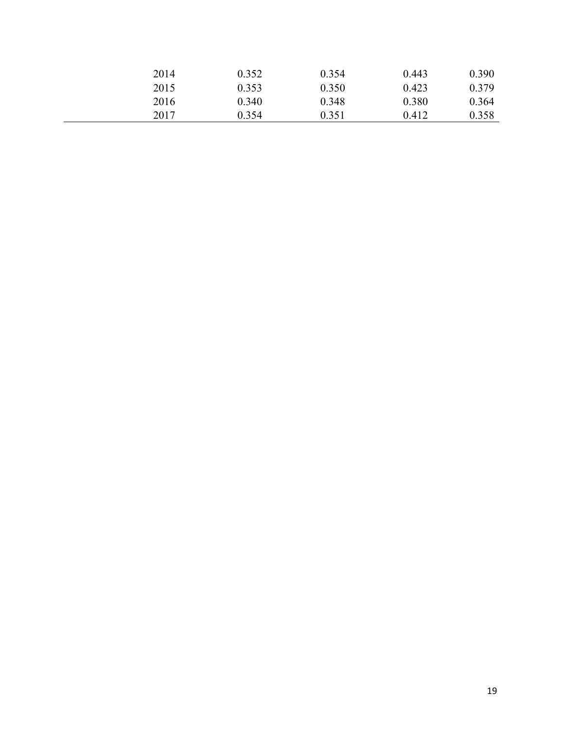| 2014 | 0.352 | 0.354 | 0.443 | 0.390 |
|------|-------|-------|-------|-------|
| 2015 | 0.353 | 0.350 | 0.423 | 0.379 |
| 2016 | 0.340 | 0.348 | 0.380 | 0.364 |
| 2017 | 0.354 | 0.351 | 0.412 | 0.358 |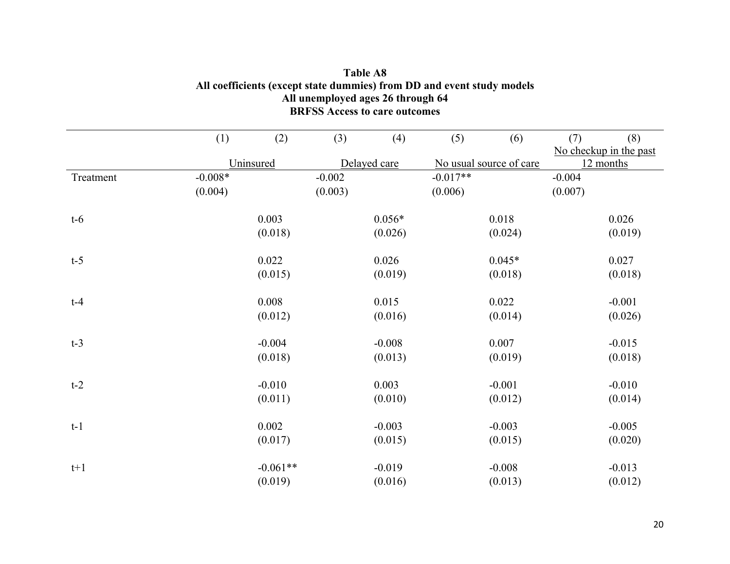|           | (1)       | (2)        | (3)      | (4)          | (5)        | (6)                     | (7)      | (8)                    |
|-----------|-----------|------------|----------|--------------|------------|-------------------------|----------|------------------------|
|           |           |            |          |              |            |                         |          | No checkup in the past |
|           |           | Uninsured  |          | Delayed care |            | No usual source of care |          | 12 months              |
| Treatment | $-0.008*$ |            | $-0.002$ |              | $-0.017**$ |                         | $-0.004$ |                        |
|           | (0.004)   |            | (0.003)  |              | (0.006)    |                         | (0.007)  |                        |
| $t-6$     |           | 0.003      |          | $0.056*$     |            | 0.018                   |          | 0.026                  |
|           |           | (0.018)    |          | (0.026)      |            | (0.024)                 |          | (0.019)                |
| $t-5$     |           | 0.022      |          | 0.026        |            | $0.045*$                |          | 0.027                  |
|           |           | (0.015)    |          | (0.019)      |            | (0.018)                 |          | (0.018)                |
| $t-4$     |           | 0.008      |          | 0.015        |            | 0.022                   |          | $-0.001$               |
|           |           | (0.012)    |          | (0.016)      |            | (0.014)                 |          | (0.026)                |
| $t-3$     |           | $-0.004$   |          | $-0.008$     |            | 0.007                   |          | $-0.015$               |
|           |           | (0.018)    |          | (0.013)      |            | (0.019)                 |          | (0.018)                |
| $t-2$     |           | $-0.010$   |          | 0.003        |            | $-0.001$                |          | $-0.010$               |
|           |           | (0.011)    |          | (0.010)      |            | (0.012)                 |          | (0.014)                |
| $t-1$     |           | 0.002      |          | $-0.003$     |            | $-0.003$                |          | $-0.005$               |
|           |           | (0.017)    |          | (0.015)      |            | (0.015)                 |          | (0.020)                |
| $t+1$     |           | $-0.061**$ |          | $-0.019$     |            | $-0.008$                |          | $-0.013$               |
|           |           | (0.019)    |          | (0.016)      |            | (0.013)                 |          | (0.012)                |

## **Table A8 All coefficients (except state dummies) from DD and event study models All unemployed ages 26 through 64 BRFSS Access to care outcomes**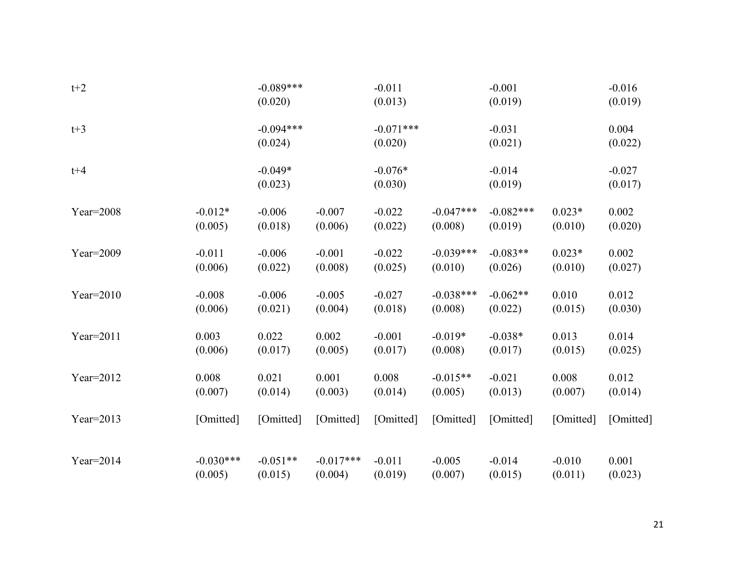| $t+2$        |             | $-0.089***$<br>(0.020) |             | $-0.011$<br>(0.013)    |             | $-0.001$<br>(0.019) |           | $-0.016$<br>(0.019) |
|--------------|-------------|------------------------|-------------|------------------------|-------------|---------------------|-----------|---------------------|
| $t+3$        |             | $-0.094***$<br>(0.024) |             | $-0.071***$<br>(0.020) |             | $-0.031$<br>(0.021) |           | 0.004<br>(0.022)    |
| $t + 4$      |             | $-0.049*$<br>(0.023)   |             | $-0.076*$<br>(0.030)   |             | $-0.014$<br>(0.019) |           | $-0.027$<br>(0.017) |
| $Year=2008$  | $-0.012*$   | $-0.006$               | $-0.007$    | $-0.022$               | $-0.047***$ | $-0.082***$         | $0.023*$  | 0.002               |
|              | (0.005)     | (0.018)                | (0.006)     | (0.022)                | (0.008)     | (0.019)             | (0.010)   | (0.020)             |
| Year=2009    | $-0.011$    | $-0.006$               | $-0.001$    | $-0.022$               | $-0.039***$ | $-0.083**$          | $0.023*$  | 0.002               |
|              | (0.006)     | (0.022)                | (0.008)     | (0.025)                | (0.010)     | (0.026)             | (0.010)   | (0.027)             |
| Year= $2010$ | $-0.008$    | $-0.006$               | $-0.005$    | $-0.027$               | $-0.038***$ | $-0.062**$          | 0.010     | 0.012               |
|              | (0.006)     | (0.021)                | (0.004)     | (0.018)                | (0.008)     | (0.022)             | (0.015)   | (0.030)             |
| $Year=2011$  | 0.003       | 0.022                  | 0.002       | $-0.001$               | $-0.019*$   | $-0.038*$           | 0.013     | 0.014               |
|              | (0.006)     | (0.017)                | (0.005)     | (0.017)                | (0.008)     | (0.017)             | (0.015)   | (0.025)             |
| $Year=2012$  | 0.008       | 0.021                  | 0.001       | 0.008                  | $-0.015**$  | $-0.021$            | 0.008     | 0.012               |
|              | (0.007)     | (0.014)                | (0.003)     | (0.014)                | (0.005)     | (0.013)             | (0.007)   | (0.014)             |
| $Year=2013$  | [Omitted]   | [Omitted]              | [Omitted]   | [Omitted]              | [Omitted]   | [Omitted]           | [Omitted] | [Omitted]           |
| $Year=2014$  | $-0.030***$ | $-0.051**$             | $-0.017***$ | $-0.011$               | $-0.005$    | $-0.014$            | $-0.010$  | 0.001               |
|              | (0.005)     | (0.015)                | (0.004)     | (0.019)                | (0.007)     | (0.015)             | (0.011)   | (0.023)             |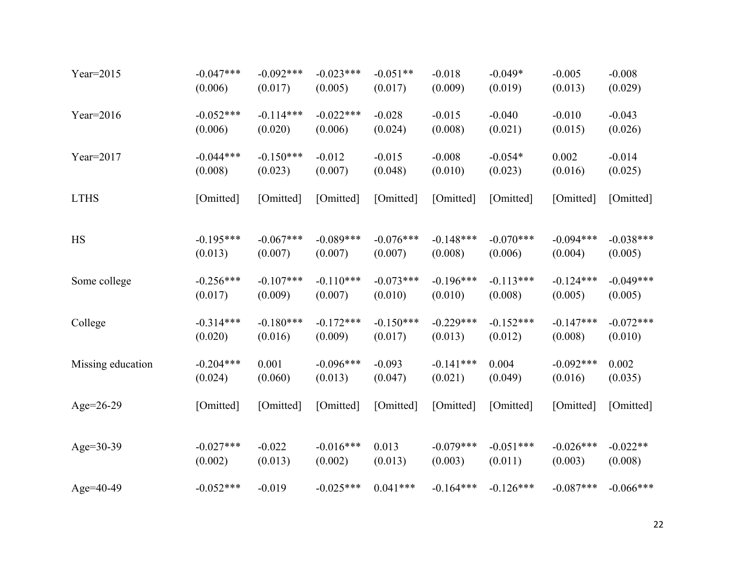| Year= $2015$      | $-0.047***$ | $-0.092***$ | $-0.023***$ | $-0.051**$  | $-0.018$    | $-0.049*$   | $-0.005$    | $-0.008$    |
|-------------------|-------------|-------------|-------------|-------------|-------------|-------------|-------------|-------------|
|                   | (0.006)     | (0.017)     | (0.005)     | (0.017)     | (0.009)     | (0.019)     | (0.013)     | (0.029)     |
| Year= $2016$      | $-0.052***$ | $-0.114***$ | $-0.022***$ | $-0.028$    | $-0.015$    | $-0.040$    | $-0.010$    | $-0.043$    |
|                   | (0.006)     | (0.020)     | (0.006)     | (0.024)     | (0.008)     | (0.021)     | (0.015)     | (0.026)     |
| Year= $2017$      | $-0.044***$ | $-0.150***$ | $-0.012$    | $-0.015$    | $-0.008$    | $-0.054*$   | 0.002       | $-0.014$    |
|                   | (0.008)     | (0.023)     | (0.007)     | (0.048)     | (0.010)     | (0.023)     | (0.016)     | (0.025)     |
| <b>LTHS</b>       | [Omitted]   | [Omitted]   | [Omitted]   | [Omitted]   | [Omitted]   | [Omitted]   | [Omitted]   | [Omitted]   |
| <b>HS</b>         | $-0.195***$ | $-0.067***$ | $-0.089***$ | $-0.076***$ | $-0.148***$ | $-0.070***$ | $-0.094***$ | $-0.038***$ |
|                   | (0.013)     | (0.007)     | (0.007)     | (0.007)     | (0.008)     | (0.006)     | (0.004)     | (0.005)     |
| Some college      | $-0.256***$ | $-0.107***$ | $-0.110***$ | $-0.073***$ | $-0.196***$ | $-0.113***$ | $-0.124***$ | $-0.049***$ |
|                   | (0.017)     | (0.009)     | (0.007)     | (0.010)     | (0.010)     | (0.008)     | (0.005)     | (0.005)     |
| College           | $-0.314***$ | $-0.180***$ | $-0.172***$ | $-0.150***$ | $-0.229***$ | $-0.152***$ | $-0.147***$ | $-0.072***$ |
|                   | (0.020)     | (0.016)     | (0.009)     | (0.017)     | (0.013)     | (0.012)     | (0.008)     | (0.010)     |
| Missing education | $-0.204***$ | 0.001       | $-0.096***$ | $-0.093$    | $-0.141***$ | 0.004       | $-0.092***$ | 0.002       |
|                   | (0.024)     | (0.060)     | (0.013)     | (0.047)     | (0.021)     | (0.049)     | (0.016)     | (0.035)     |
| Age= $26-29$      | [Omitted]   | [Omitted]   | [Omitted]   | [Omitted]   | [Omitted]   | [Omitted]   | [Omitted]   | [Omitted]   |
| Age=30-39         | $-0.027***$ | $-0.022$    | $-0.016***$ | 0.013       | $-0.079***$ | $-0.051***$ | $-0.026***$ | $-0.022**$  |
|                   | (0.002)     | (0.013)     | (0.002)     | (0.013)     | (0.003)     | (0.011)     | (0.003)     | (0.008)     |
| Age=40-49         | $-0.052***$ | $-0.019$    | $-0.025***$ | $0.041***$  | $-0.164***$ | $-0.126***$ | $-0.087***$ | $-0.066***$ |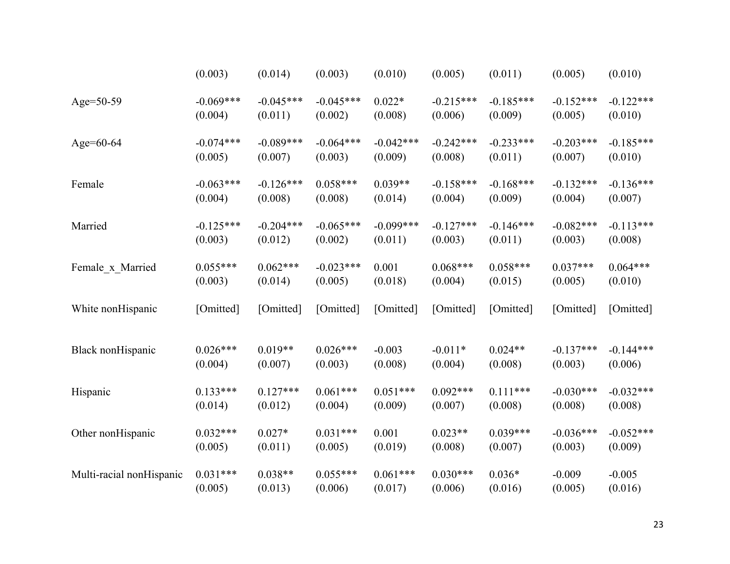|                          | (0.003)     | (0.014)     | (0.003)     | (0.010)     | (0.005)     | (0.011)     | (0.005)     | (0.010)     |
|--------------------------|-------------|-------------|-------------|-------------|-------------|-------------|-------------|-------------|
| Age=50-59                | $-0.069***$ | $-0.045***$ | $-0.045***$ | $0.022*$    | $-0.215***$ | $-0.185***$ | $-0.152***$ | $-0.122***$ |
|                          | (0.004)     | (0.011)     | (0.002)     | (0.008)     | (0.006)     | (0.009)     | (0.005)     | (0.010)     |
| Age=60-64                | $-0.074***$ | $-0.089***$ | $-0.064***$ | $-0.042***$ | $-0.242***$ | $-0.233***$ | $-0.203***$ | $-0.185***$ |
|                          | (0.005)     | (0.007)     | (0.003)     | (0.009)     | (0.008)     | (0.011)     | (0.007)     | (0.010)     |
| Female                   | $-0.063***$ | $-0.126***$ | $0.058***$  | $0.039**$   | $-0.158***$ | $-0.168***$ | $-0.132***$ | $-0.136***$ |
|                          | (0.004)     | (0.008)     | (0.008)     | (0.014)     | (0.004)     | (0.009)     | (0.004)     | (0.007)     |
| Married                  | $-0.125***$ | $-0.204***$ | $-0.065***$ | $-0.099***$ | $-0.127***$ | $-0.146***$ | $-0.082***$ | $-0.113***$ |
|                          | (0.003)     | (0.012)     | (0.002)     | (0.011)     | (0.003)     | (0.011)     | (0.003)     | (0.008)     |
| Female_x_Married         | $0.055***$  | $0.062***$  | $-0.023***$ | 0.001       | $0.068***$  | $0.058***$  | $0.037***$  | $0.064***$  |
|                          | (0.003)     | (0.014)     | (0.005)     | (0.018)     | (0.004)     | (0.015)     | (0.005)     | (0.010)     |
| White nonHispanic        | [Omitted]   | [Omitted]   | [Omitted]   | [Omitted]   | [Omitted]   | [Omitted]   | [Omitted]   | [Omitted]   |
| Black nonHispanic        | $0.026***$  | $0.019**$   | $0.026***$  | $-0.003$    | $-0.011*$   | $0.024**$   | $-0.137***$ | $-0.144***$ |
|                          | (0.004)     | (0.007)     | (0.003)     | (0.008)     | (0.004)     | (0.008)     | (0.003)     | (0.006)     |
| Hispanic                 | $0.133***$  | $0.127***$  | $0.061***$  | $0.051***$  | $0.092***$  | $0.111***$  | $-0.030***$ | $-0.032***$ |
|                          | (0.014)     | (0.012)     | (0.004)     | (0.009)     | (0.007)     | (0.008)     | (0.008)     | (0.008)     |
| Other nonHispanic        | $0.032***$  | $0.027*$    | $0.031***$  | 0.001       | $0.023**$   | $0.039***$  | $-0.036***$ | $-0.052***$ |
|                          | (0.005)     | (0.011)     | (0.005)     | (0.019)     | (0.008)     | (0.007)     | (0.003)     | (0.009)     |
| Multi-racial nonHispanic | $0.031***$  | $0.038**$   | $0.055***$  | $0.061***$  | $0.030***$  | $0.036*$    | $-0.009$    | $-0.005$    |
|                          | (0.005)     | (0.013)     | (0.006)     | (0.017)     | (0.006)     | (0.016)     | (0.005)     | (0.016)     |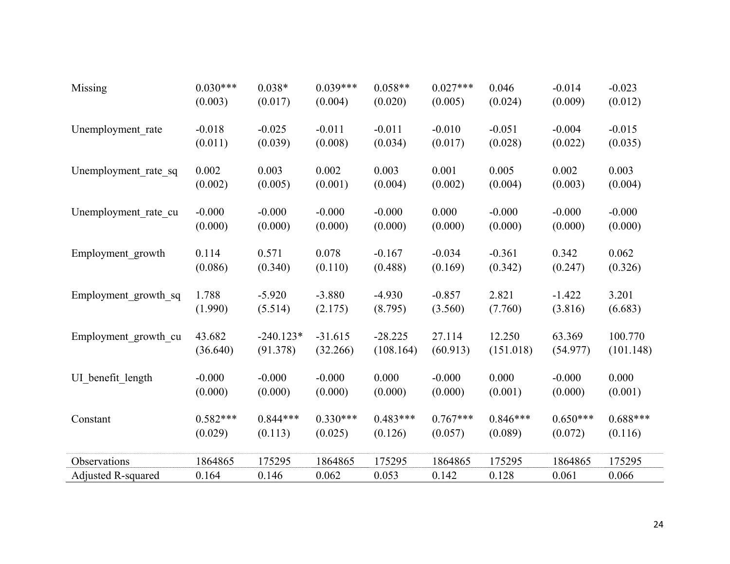| Missing                   | $0.030***$ | $0.038*$    | $0.039***$ | $0.058**$  | $0.027***$ | 0.046      | $-0.014$   | $-0.023$   |
|---------------------------|------------|-------------|------------|------------|------------|------------|------------|------------|
|                           | (0.003)    | (0.017)     | (0.004)    | (0.020)    | (0.005)    | (0.024)    | (0.009)    | (0.012)    |
| Unemployment rate         | $-0.018$   | $-0.025$    | $-0.011$   | $-0.011$   | $-0.010$   | $-0.051$   | $-0.004$   | $-0.015$   |
|                           | (0.011)    | (0.039)     | (0.008)    | (0.034)    | (0.017)    | (0.028)    | (0.022)    | (0.035)    |
| Unemployment rate sq      | 0.002      | 0.003       | 0.002      | 0.003      | 0.001      | 0.005      | 0.002      | 0.003      |
|                           | (0.002)    | (0.005)     | (0.001)    | (0.004)    | (0.002)    | (0.004)    | (0.003)    | (0.004)    |
| Unemployment rate cu      | $-0.000$   | $-0.000$    | $-0.000$   | $-0.000$   | 0.000      | $-0.000$   | $-0.000$   | $-0.000$   |
|                           | (0.000)    | (0.000)     | (0.000)    | (0.000)    | (0.000)    | (0.000)    | (0.000)    | (0.000)    |
| Employment growth         | 0.114      | 0.571       | 0.078      | $-0.167$   | $-0.034$   | $-0.361$   | 0.342      | 0.062      |
|                           | (0.086)    | (0.340)     | (0.110)    | (0.488)    | (0.169)    | (0.342)    | (0.247)    | (0.326)    |
| Employment growth sq      | 1.788      | $-5.920$    | $-3.880$   | $-4.930$   | $-0.857$   | 2.821      | $-1.422$   | 3.201      |
|                           | (1.990)    | (5.514)     | (2.175)    | (8.795)    | (3.560)    | (7.760)    | (3.816)    | (6.683)    |
| Employment growth cu      | 43.682     | $-240.123*$ | $-31.615$  | $-28.225$  | 27.114     | 12.250     | 63.369     | 100.770    |
|                           | (36.640)   | (91.378)    | (32.266)   | (108.164)  | (60.913)   | (151.018)  | (54.977)   | (101.148)  |
| UI_benefit_length         | $-0.000$   | $-0.000$    | $-0.000$   | 0.000      | $-0.000$   | 0.000      | $-0.000$   | 0.000      |
|                           | (0.000)    | (0.000)     | (0.000)    | (0.000)    | (0.000)    | (0.001)    | (0.000)    | (0.001)    |
| Constant                  | $0.582***$ | $0.844***$  | $0.330***$ | $0.483***$ | $0.767***$ | $0.846***$ | $0.650***$ | $0.688***$ |
|                           | (0.029)    | (0.113)     | (0.025)    | (0.126)    | (0.057)    | (0.089)    | (0.072)    | (0.116)    |
| Observations              | 1864865    | 175295      | 1864865    | 175295     | 1864865    | 175295     | 1864865    | 175295     |
| <b>Adjusted R-squared</b> | 0.164      | 0.146       | 0.062      | 0.053      | 0.142      | 0.128      | 0.061      | 0.066      |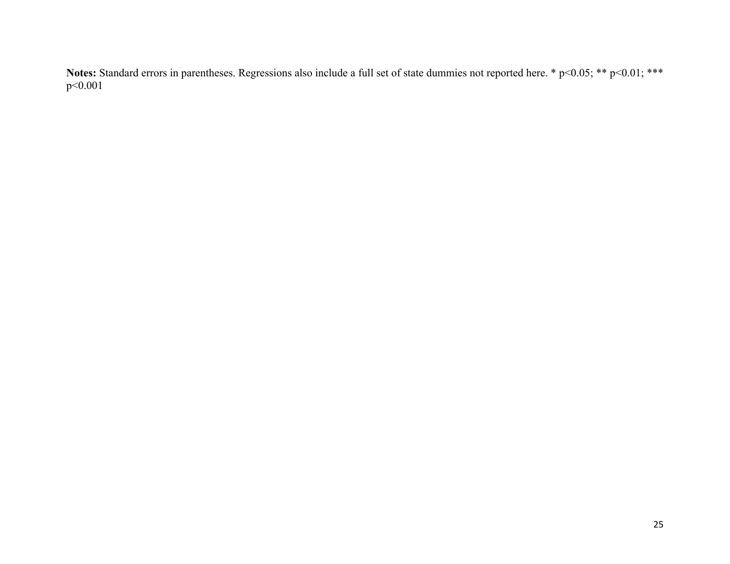Notes: Standard errors in parentheses. Regressions also include a full set of state dummies not reported here. \* p<0.05; \*\* p<0.01; \*\*\* p<0.001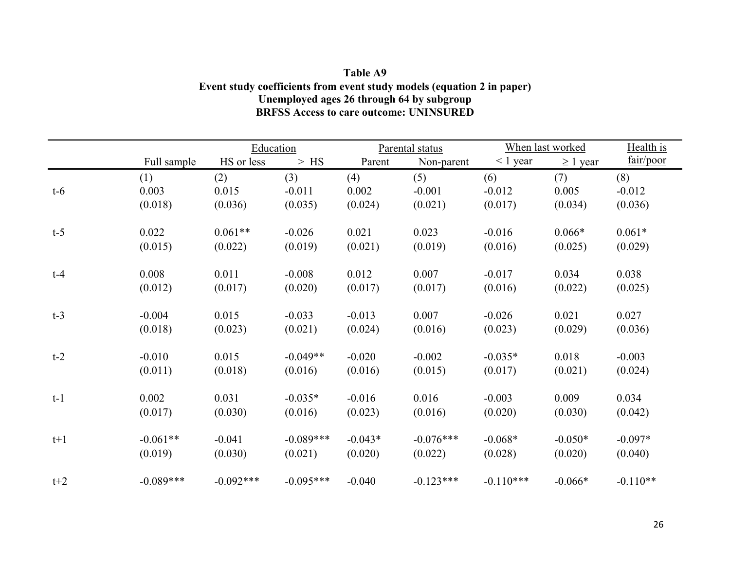| Table A9                                                               |
|------------------------------------------------------------------------|
| Event study coefficients from event study models (equation 2 in paper) |
| Unemployed ages 26 through 64 by subgroup                              |
| <b>BRFSS Access to care outcome: UNINSURED</b>                         |

|       |             | Education   |             |           | Parental status |               | When last worked | Health is  |
|-------|-------------|-------------|-------------|-----------|-----------------|---------------|------------------|------------|
|       | Full sample | HS or less  | $>$ HS      | Parent    | Non-parent      | $\leq 1$ year | $\geq 1$ year    | fair/poor  |
|       | (1)         | (2)         | (3)         | (4)       | (5)             | (6)           | (7)              | (8)        |
| $t-6$ | 0.003       | 0.015       | $-0.011$    | 0.002     | $-0.001$        | $-0.012$      | 0.005            | $-0.012$   |
|       | (0.018)     | (0.036)     | (0.035)     | (0.024)   | (0.021)         | (0.017)       | (0.034)          | (0.036)    |
| $t-5$ | 0.022       | $0.061**$   | $-0.026$    | 0.021     | 0.023           | $-0.016$      | $0.066*$         | $0.061*$   |
|       | (0.015)     | (0.022)     | (0.019)     | (0.021)   | (0.019)         | (0.016)       | (0.025)          | (0.029)    |
| $t-4$ | 0.008       | 0.011       | $-0.008$    | 0.012     | 0.007           | $-0.017$      | 0.034            | 0.038      |
|       | (0.012)     | (0.017)     | (0.020)     | (0.017)   | (0.017)         | (0.016)       | (0.022)          | (0.025)    |
| $t-3$ | $-0.004$    | 0.015       | $-0.033$    | $-0.013$  | 0.007           | $-0.026$      | 0.021            | 0.027      |
|       | (0.018)     | (0.023)     | (0.021)     | (0.024)   | (0.016)         | (0.023)       | (0.029)          | (0.036)    |
| $t-2$ | $-0.010$    | 0.015       | $-0.049**$  | $-0.020$  | $-0.002$        | $-0.035*$     | 0.018            | $-0.003$   |
|       | (0.011)     | (0.018)     | (0.016)     | (0.016)   | (0.015)         | (0.017)       | (0.021)          | (0.024)    |
| $t-1$ | 0.002       | 0.031       | $-0.035*$   | $-0.016$  | 0.016           | $-0.003$      | 0.009            | 0.034      |
|       | (0.017)     | (0.030)     | (0.016)     | (0.023)   | (0.016)         | (0.020)       | (0.030)          | (0.042)    |
| $t+1$ | $-0.061**$  | $-0.041$    | $-0.089***$ | $-0.043*$ | $-0.076***$     | $-0.068*$     | $-0.050*$        | $-0.097*$  |
|       | (0.019)     | (0.030)     | (0.021)     | (0.020)   | (0.022)         | (0.028)       | (0.020)          | (0.040)    |
| $t+2$ | $-0.089***$ | $-0.092***$ | $-0.095***$ | $-0.040$  | $-0.123***$     | $-0.110***$   | $-0.066*$        | $-0.110**$ |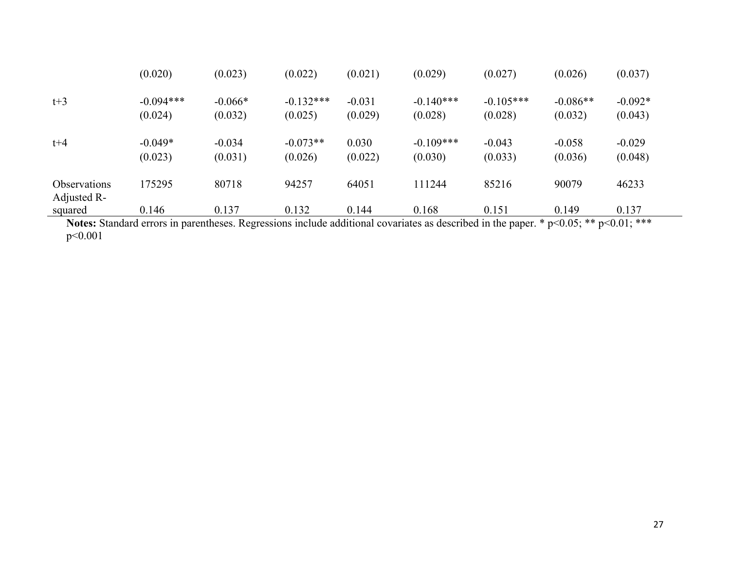|                                    | (0.020)                | (0.023)              | (0.022)                | (0.021)             | (0.029)                | (0.027)                | (0.026)               | (0.037)              |
|------------------------------------|------------------------|----------------------|------------------------|---------------------|------------------------|------------------------|-----------------------|----------------------|
| $t+3$                              | $-0.094***$<br>(0.024) | $-0.066*$<br>(0.032) | $-0.132***$<br>(0.025) | $-0.031$<br>(0.029) | $-0.140***$<br>(0.028) | $-0.105***$<br>(0.028) | $-0.086**$<br>(0.032) | $-0.092*$<br>(0.043) |
| $t + 4$                            | $-0.049*$<br>(0.023)   | $-0.034$<br>(0.031)  | $-0.073**$<br>(0.026)  | 0.030<br>(0.022)    | $-0.109***$<br>(0.030) | $-0.043$<br>(0.033)    | $-0.058$<br>(0.036)   | $-0.029$<br>(0.048)  |
| <b>Observations</b><br>Adjusted R- | 175295                 | 80718                | 94257                  | 64051               | 111244                 | 85216                  | 90079                 | 46233                |
| squared                            | 0.146                  | 0.137                | 0.132                  | 0.144               | 0.168                  | 0.151                  | 0.149                 | 0.137                |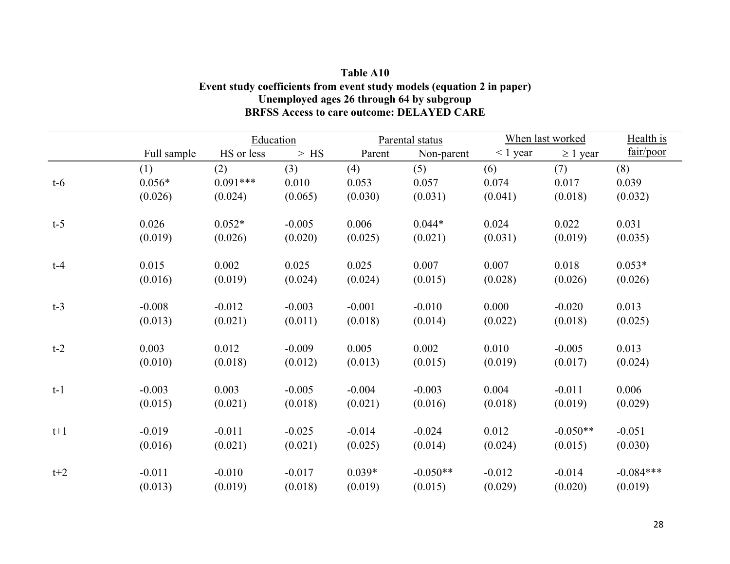| Table A10                                                              |
|------------------------------------------------------------------------|
| Event study coefficients from event study models (equation 2 in paper) |
| Unemployed ages 26 through 64 by subgroup                              |
| <b>BRFSS Access to care outcome: DELAYED CARE</b>                      |

|       |             | Education  |          |          | Parental status |               | When last worked |             |
|-------|-------------|------------|----------|----------|-----------------|---------------|------------------|-------------|
|       | Full sample | HS or less | $>$ HS   | Parent   | Non-parent      | $\leq 1$ year | $\geq 1$ year    | fair/poor   |
|       | (1)         | (2)        | (3)      | (4)      | (5)             | (6)           | (7)              | (8)         |
| $t-6$ | $0.056*$    | $0.091***$ | 0.010    | 0.053    | 0.057           | 0.074         | 0.017            | 0.039       |
|       | (0.026)     | (0.024)    | (0.065)  | (0.030)  | (0.031)         | (0.041)       | (0.018)          | (0.032)     |
| $t-5$ | 0.026       | $0.052*$   | $-0.005$ | 0.006    | $0.044*$        | 0.024         | 0.022            | 0.031       |
|       | (0.019)     | (0.026)    | (0.020)  | (0.025)  | (0.021)         | (0.031)       | (0.019)          | (0.035)     |
| $t-4$ | 0.015       | 0.002      | 0.025    | 0.025    | 0.007           | 0.007         | 0.018            | $0.053*$    |
|       | (0.016)     | (0.019)    | (0.024)  | (0.024)  | (0.015)         | (0.028)       | (0.026)          | (0.026)     |
| $t-3$ | $-0.008$    | $-0.012$   | $-0.003$ | $-0.001$ | $-0.010$        | 0.000         | $-0.020$         | 0.013       |
|       | (0.013)     | (0.021)    | (0.011)  | (0.018)  | (0.014)         | (0.022)       | (0.018)          | (0.025)     |
| $t-2$ | 0.003       | 0.012      | $-0.009$ | 0.005    | 0.002           | 0.010         | $-0.005$         | 0.013       |
|       | (0.010)     | (0.018)    | (0.012)  | (0.013)  | (0.015)         | (0.019)       | (0.017)          | (0.024)     |
| $t-1$ | $-0.003$    | 0.003      | $-0.005$ | $-0.004$ | $-0.003$        | 0.004         | $-0.011$         | 0.006       |
|       | (0.015)     | (0.021)    | (0.018)  | (0.021)  | (0.016)         | (0.018)       | (0.019)          | (0.029)     |
| $t+1$ | $-0.019$    | $-0.011$   | $-0.025$ | $-0.014$ | $-0.024$        | 0.012         | $-0.050**$       | $-0.051$    |
|       | (0.016)     | (0.021)    | (0.021)  | (0.025)  | (0.014)         | (0.024)       | (0.015)          | (0.030)     |
| $t+2$ | $-0.011$    | $-0.010$   | $-0.017$ | $0.039*$ | $-0.050**$      | $-0.012$      | $-0.014$         | $-0.084***$ |
|       | (0.013)     | (0.019)    | (0.018)  | (0.019)  | (0.015)         | (0.029)       | (0.020)          | (0.019)     |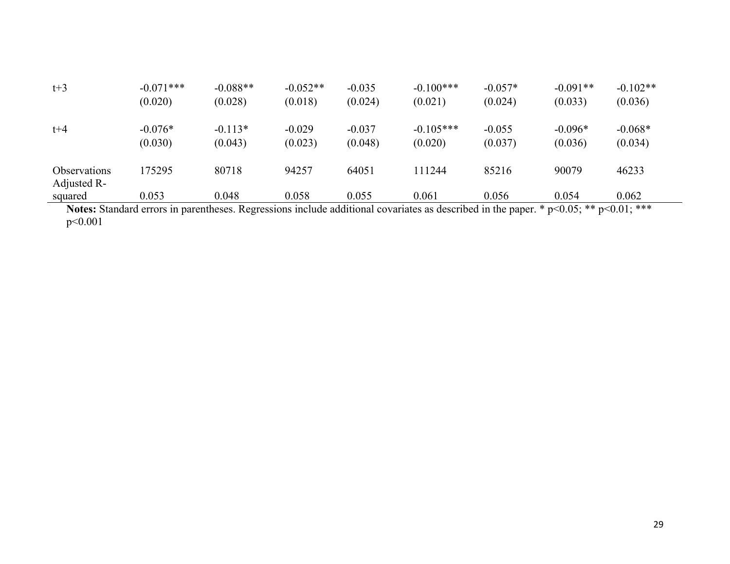| $t+3$                              | $-0.071***$<br>(0.020) | $-0.088**$<br>(0.028) | $-0.052**$<br>(0.018) | $-0.035$<br>(0.024) | $-0.100***$<br>(0.021)                                                                                                                | $-0.057*$<br>(0.024) | $-0.091**$<br>(0.033) | $-0.102**$<br>(0.036) |
|------------------------------------|------------------------|-----------------------|-----------------------|---------------------|---------------------------------------------------------------------------------------------------------------------------------------|----------------------|-----------------------|-----------------------|
| $t + 4$                            | $-0.076*$<br>(0.030)   | $-0.113*$<br>(0.043)  | $-0.029$<br>(0.023)   | $-0.037$<br>(0.048) | $-0.105***$<br>(0.020)                                                                                                                | $-0.055$<br>(0.037)  | $-0.096*$<br>(0.036)  | $-0.068*$<br>(0.034)  |
| <b>Observations</b><br>Adjusted R- | 175295                 | 80718                 | 94257                 | 64051               | 111244                                                                                                                                | 85216                | 90079                 | 46233                 |
| squared                            | 0.053                  | 0.048                 | 0.058                 | 0.055               | 0.061                                                                                                                                 | 0.056                | 0.054                 | 0.062                 |
|                                    |                        |                       |                       |                     | Notes: Standard errors in parentheses. Regressions include additional covariates as described in the paper $*$ n<0.05; ** n<0.01; *** |                      |                       |                       |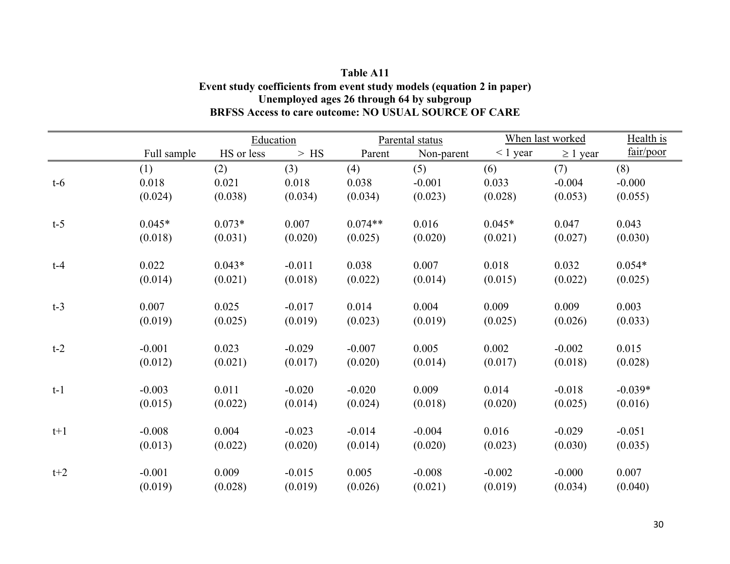| Table A11                                                              |
|------------------------------------------------------------------------|
| Event study coefficients from event study models (equation 2 in paper) |
| Unemployed ages 26 through 64 by subgroup                              |
| BRFSS Access to care outcome: NO USUAL SOURCE OF CARE                  |

|       |             | Education  |          |           | Parental status | When last worked |               | Health is |
|-------|-------------|------------|----------|-----------|-----------------|------------------|---------------|-----------|
|       | Full sample | HS or less | $>$ HS   | Parent    | Non-parent      | $\leq 1$ year    | $\geq 1$ year | fair/poor |
|       | (1)         | (2)        | (3)      | (4)       | (5)             | (6)              | (7)           | (8)       |
| $t-6$ | 0.018       | 0.021      | 0.018    | 0.038     | $-0.001$        | 0.033            | $-0.004$      | $-0.000$  |
|       | (0.024)     | (0.038)    | (0.034)  | (0.034)   | (0.023)         | (0.028)          | (0.053)       | (0.055)   |
| $t-5$ | $0.045*$    | $0.073*$   | 0.007    | $0.074**$ | 0.016           | $0.045*$         | 0.047         | 0.043     |
|       | (0.018)     | (0.031)    | (0.020)  | (0.025)   | (0.020)         | (0.021)          | (0.027)       | (0.030)   |
| $t-4$ | 0.022       | $0.043*$   | $-0.011$ | 0.038     | 0.007           | 0.018            | 0.032         | $0.054*$  |
|       | (0.014)     | (0.021)    | (0.018)  | (0.022)   | (0.014)         | (0.015)          | (0.022)       | (0.025)   |
| $t-3$ | 0.007       | 0.025      | $-0.017$ | 0.014     | 0.004           | 0.009            | 0.009         | 0.003     |
|       | (0.019)     | (0.025)    | (0.019)  | (0.023)   | (0.019)         | (0.025)          | (0.026)       | (0.033)   |
| $t-2$ | $-0.001$    | 0.023      | $-0.029$ | $-0.007$  | 0.005           | 0.002            | $-0.002$      | 0.015     |
|       | (0.012)     | (0.021)    | (0.017)  | (0.020)   | (0.014)         | (0.017)          | (0.018)       | (0.028)   |
| $t-1$ | $-0.003$    | 0.011      | $-0.020$ | $-0.020$  | 0.009           | 0.014            | $-0.018$      | $-0.039*$ |
|       | (0.015)     | (0.022)    | (0.014)  | (0.024)   | (0.018)         | (0.020)          | (0.025)       | (0.016)   |
| $t+1$ | $-0.008$    | 0.004      | $-0.023$ | $-0.014$  | $-0.004$        | 0.016            | $-0.029$      | $-0.051$  |
|       | (0.013)     | (0.022)    | (0.020)  | (0.014)   | (0.020)         | (0.023)          | (0.030)       | (0.035)   |
| $t+2$ | $-0.001$    | 0.009      | $-0.015$ | 0.005     | $-0.008$        | $-0.002$         | $-0.000$      | 0.007     |
|       | (0.019)     | (0.028)    | (0.019)  | (0.026)   | (0.021)         | (0.019)          | (0.034)       | (0.040)   |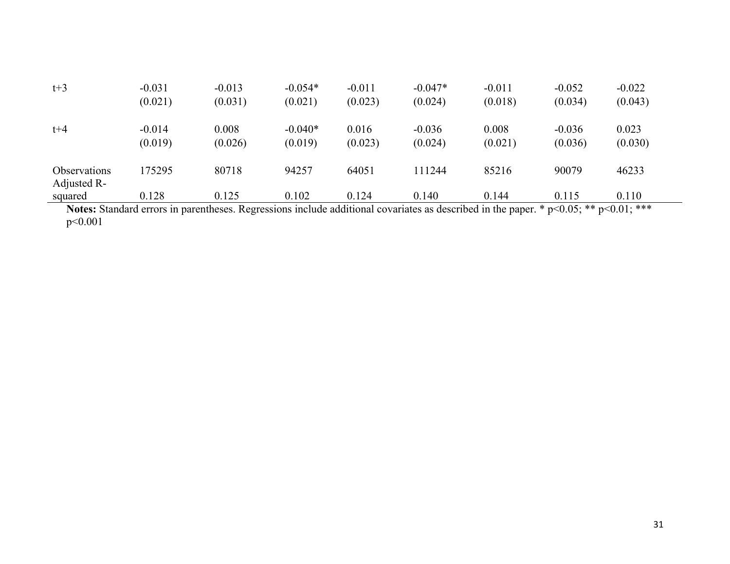| $t+3$                              | $-0.031$<br>(0.021) | $-0.013$<br>(0.031)                                                                                                                        | $-0.054*$<br>(0.021) | $-0.011$<br>(0.023) | $-0.047*$<br>(0.024) | $-0.011$<br>(0.018) | $-0.052$<br>(0.034) | $-0.022$<br>(0.043) |  |
|------------------------------------|---------------------|--------------------------------------------------------------------------------------------------------------------------------------------|----------------------|---------------------|----------------------|---------------------|---------------------|---------------------|--|
| $t + 4$                            | $-0.014$<br>(0.019) | 0.008<br>(0.026)                                                                                                                           | $-0.040*$<br>(0.019) | 0.016<br>(0.023)    | $-0.036$<br>(0.024)  | 0.008<br>(0.021)    | $-0.036$<br>(0.036) | 0.023<br>(0.030)    |  |
| <b>Observations</b><br>Adjusted R- | 175295              | 80718                                                                                                                                      | 94257                | 64051               | 111244               | 85216               | 90079               | 46233               |  |
| squared                            | 0.128               | 0.125                                                                                                                                      | 0.102                | 0.124               | 0.140                | 0.144               | 0.115               | 0.110               |  |
|                                    |                     | Notes Standard even in perentheses Decreesians include additional equations as described in the pere $* \sim 0.65$ , $** \sim 0.11$ , $**$ |                      |                     |                      |                     |                     |                     |  |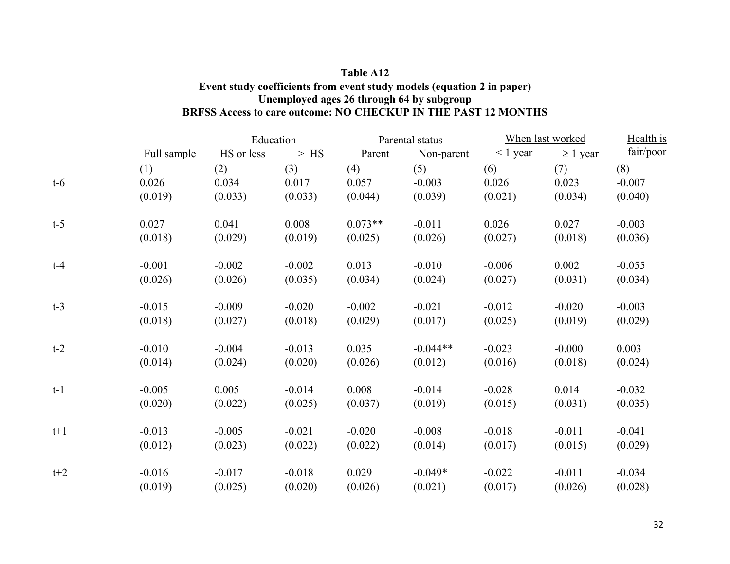## **Table A12 Event study coefficients from event study models (equation 2 in paper) Unemployed ages 26 through 64 by subgroup BRFSS Access to care outcome: NO CHECKUP IN THE PAST 12 MONTHS**

|       |             | Education  |          |           | Parental status |               | When last worked |           |
|-------|-------------|------------|----------|-----------|-----------------|---------------|------------------|-----------|
|       | Full sample | HS or less | $>$ HS   | Parent    | Non-parent      | $\leq 1$ year | $\geq 1$ year    | fair/poor |
| $t-6$ | (1)         | (2)        | (3)      | (4)       | (5)             | (6)           | (7)              | (8)       |
|       | 0.026       | 0.034      | 0.017    | 0.057     | $-0.003$        | 0.026         | 0.023            | $-0.007$  |
|       | (0.019)     | (0.033)    | (0.033)  | (0.044)   | (0.039)         | (0.021)       | (0.034)          | (0.040)   |
| $t-5$ | 0.027       | 0.041      | 0.008    | $0.073**$ | $-0.011$        | 0.026         | 0.027            | $-0.003$  |
|       | (0.018)     | (0.029)    | (0.019)  | (0.025)   | (0.026)         | (0.027)       | (0.018)          | (0.036)   |
| $t-4$ | $-0.001$    | $-0.002$   | $-0.002$ | 0.013     | $-0.010$        | $-0.006$      | 0.002            | $-0.055$  |
|       | (0.026)     | (0.026)    | (0.035)  | (0.034)   | (0.024)         | (0.027)       | (0.031)          | (0.034)   |
| $t-3$ | $-0.015$    | $-0.009$   | $-0.020$ | $-0.002$  | $-0.021$        | $-0.012$      | $-0.020$         | $-0.003$  |
|       | (0.018)     | (0.027)    | (0.018)  | (0.029)   | (0.017)         | (0.025)       | (0.019)          | (0.029)   |
| $t-2$ | $-0.010$    | $-0.004$   | $-0.013$ | 0.035     | $-0.044**$      | $-0.023$      | $-0.000$         | 0.003     |
|       | (0.014)     | (0.024)    | (0.020)  | (0.026)   | (0.012)         | (0.016)       | (0.018)          | (0.024)   |
| $t-1$ | $-0.005$    | 0.005      | $-0.014$ | 0.008     | $-0.014$        | $-0.028$      | 0.014            | $-0.032$  |
|       | (0.020)     | (0.022)    | (0.025)  | (0.037)   | (0.019)         | (0.015)       | (0.031)          | (0.035)   |
| $t+1$ | $-0.013$    | $-0.005$   | $-0.021$ | $-0.020$  | $-0.008$        | $-0.018$      | $-0.011$         | $-0.041$  |
|       | (0.012)     | (0.023)    | (0.022)  | (0.022)   | (0.014)         | (0.017)       | (0.015)          | (0.029)   |
| $t+2$ | $-0.016$    | $-0.017$   | $-0.018$ | 0.029     | $-0.049*$       | $-0.022$      | $-0.011$         | $-0.034$  |
|       | (0.019)     | (0.025)    | (0.020)  | (0.026)   | (0.021)         | (0.017)       | (0.026)          | (0.028)   |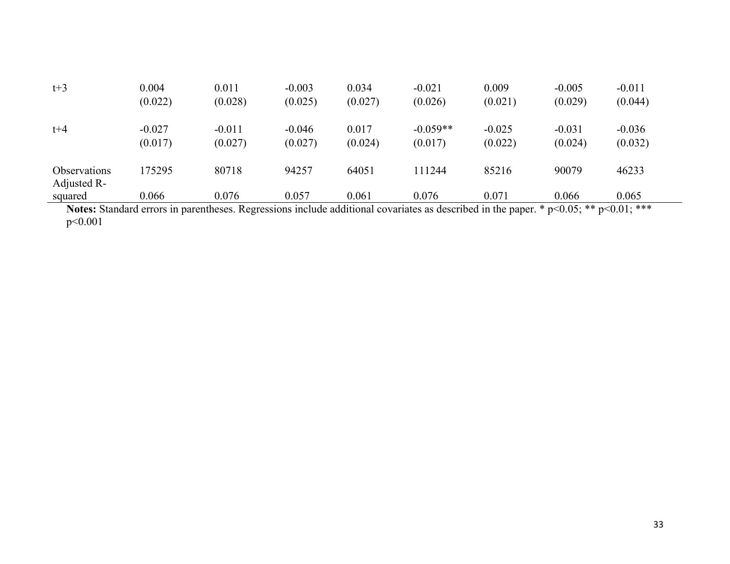| $t+3$                              | 0.004<br>(0.022)    | 0.011<br>(0.028)                                                                                                                            | $-0.003$<br>(0.025) | 0.034<br>(0.027) | $-0.021$<br>(0.026)   | 0.009<br>(0.021)    | $-0.005$<br>(0.029) | $-0.011$<br>(0.044) |  |
|------------------------------------|---------------------|---------------------------------------------------------------------------------------------------------------------------------------------|---------------------|------------------|-----------------------|---------------------|---------------------|---------------------|--|
| $t + 4$                            | $-0.027$<br>(0.017) | $-0.011$<br>(0.027)                                                                                                                         | $-0.046$<br>(0.027) | 0.017<br>(0.024) | $-0.059**$<br>(0.017) | $-0.025$<br>(0.022) | $-0.031$<br>(0.024) | $-0.036$<br>(0.032) |  |
| <b>Observations</b><br>Adjusted R- | 175295              | 80718                                                                                                                                       | 94257               | 64051            | 111244                | 85216               | 90079               | 46233               |  |
| squared                            | 0.066               | 0.076                                                                                                                                       | 0.057               | 0.061            | 0.076                 | 0.071               | 0.066               | 0.065               |  |
|                                    |                     | Notes Stendard every in perentheces. Decreasing include additional equations as described in the namer $*\sim 0.05$ , $** \sim 0.01$ , $**$ |                     |                  |                       |                     |                     |                     |  |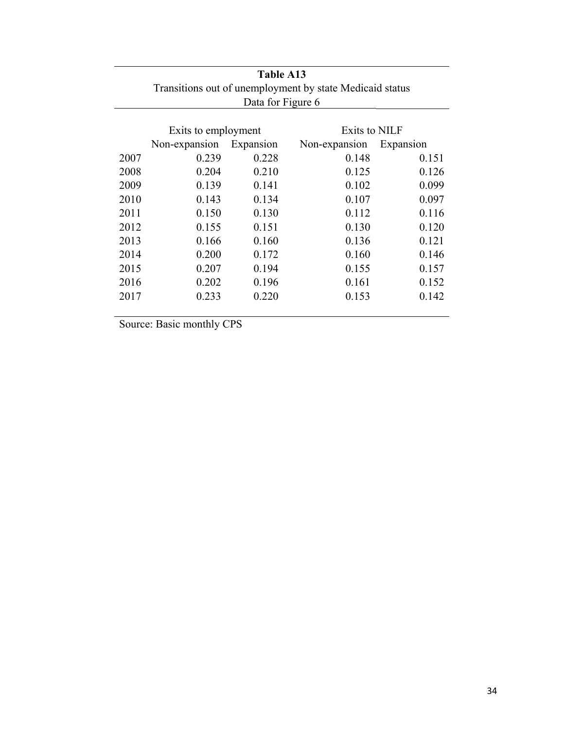| Table A13                                                |                     |           |               |           |  |  |  |  |
|----------------------------------------------------------|---------------------|-----------|---------------|-----------|--|--|--|--|
| Transitions out of unemployment by state Medicaid status |                     |           |               |           |  |  |  |  |
| Data for Figure 6                                        |                     |           |               |           |  |  |  |  |
|                                                          |                     |           |               |           |  |  |  |  |
|                                                          | Exits to employment |           | Exits to NILF |           |  |  |  |  |
|                                                          | Non-expansion       | Expansion | Non-expansion | Expansion |  |  |  |  |
| 2007                                                     | 0.239               | 0.228     | 0.148         | 0.151     |  |  |  |  |
| 2008                                                     | 0.204               | 0.210     | 0.125         | 0.126     |  |  |  |  |
| 2009                                                     | 0.139               | 0.141     | 0.102         | 0.099     |  |  |  |  |
| 2010                                                     | 0.143               | 0.134     | 0.107         | 0.097     |  |  |  |  |
| 2011                                                     | 0.150               | 0.130     | 0.112         | 0.116     |  |  |  |  |
| 2012                                                     | 0.155               | 0.151     | 0.130         | 0.120     |  |  |  |  |
| 2013                                                     | 0.166               | 0.160     | 0.136         | 0.121     |  |  |  |  |
| 2014                                                     | 0.200               | 0.172     | 0.160         | 0.146     |  |  |  |  |
| 2015                                                     | 0.207               | 0.194     | 0.155         | 0.157     |  |  |  |  |
| 2016                                                     | 0.202               | 0.196     | 0.161         | 0.152     |  |  |  |  |
| 2017                                                     | 0.233               | 0.220     | 0.153         | 0.142     |  |  |  |  |
|                                                          |                     |           |               |           |  |  |  |  |

Source: Basic monthly CPS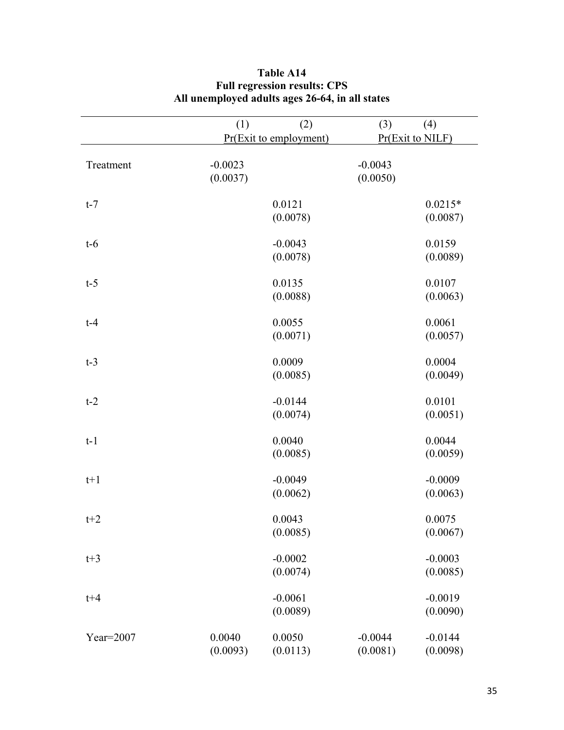|             | (1)                   | (2)<br>Pr(Exit to employment) | (3)                   | (4)<br>Pr(Exit to NILF) |
|-------------|-----------------------|-------------------------------|-----------------------|-------------------------|
| Treatment   | $-0.0023$<br>(0.0037) |                               | $-0.0043$<br>(0.0050) |                         |
| $t-7$       |                       | 0.0121                        |                       | $0.0215*$               |
|             |                       | (0.0078)                      |                       | (0.0087)                |
| $t-6$       |                       | $-0.0043$                     |                       | 0.0159                  |
|             |                       | (0.0078)                      |                       | (0.0089)                |
| $t-5$       |                       | 0.0135                        |                       | 0.0107                  |
|             |                       | (0.0088)                      |                       | (0.0063)                |
| $t-4$       |                       | 0.0055                        |                       | 0.0061                  |
|             |                       | (0.0071)                      |                       | (0.0057)                |
| $t-3$       |                       | 0.0009                        |                       | 0.0004                  |
|             |                       | (0.0085)                      |                       | (0.0049)                |
| $t-2$       |                       | $-0.0144$                     |                       | 0.0101                  |
|             |                       | (0.0074)                      |                       | (0.0051)                |
| $t-1$       |                       | 0.0040                        |                       | 0.0044                  |
|             |                       | (0.0085)                      |                       | (0.0059)                |
| $t+1$       |                       | $-0.0049$                     |                       | $-0.0009$               |
|             |                       | (0.0062)                      |                       | (0.0063)                |
| $t+2$       |                       | 0.0043                        |                       | 0.0075                  |
|             |                       | (0.0085)                      |                       | (0.0067)                |
| $t+3$       |                       | $-0.0002$                     |                       | $-0.0003$               |
|             |                       | (0.0074)                      |                       | (0.0085)                |
| $t + 4$     |                       | $-0.0061$                     |                       | $-0.0019$               |
|             |                       | (0.0089)                      |                       | (0.0090)                |
| $Year=2007$ | 0.0040                | 0.0050                        | $-0.0044$             | $-0.0144$               |
|             | (0.0093)              | (0.0113)                      | (0.0081)              | (0.0098)                |

## **Table A14 Full regression results: CPS All unemployed adults ages 26-64, in all states**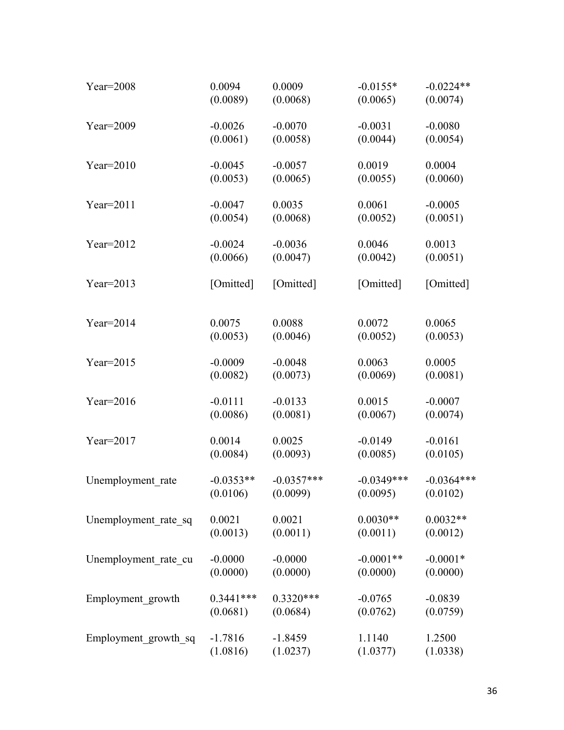| Year= $2008$         | 0.0094      | 0.0009       | $-0.0155*$   | $-0.0224**$  |
|----------------------|-------------|--------------|--------------|--------------|
|                      | (0.0089)    | (0.0068)     | (0.0065)     | (0.0074)     |
| $Year=2009$          | $-0.0026$   | $-0.0070$    | $-0.0031$    | $-0.0080$    |
|                      | (0.0061)    | (0.0058)     | (0.0044)     | (0.0054)     |
| Year= $2010$         | $-0.0045$   | $-0.0057$    | 0.0019       | 0.0004       |
|                      | (0.0053)    | (0.0065)     | (0.0055)     | (0.0060)     |
| Year= $2011$         | $-0.0047$   | 0.0035       | 0.0061       | $-0.0005$    |
|                      | (0.0054)    | (0.0068)     | (0.0052)     | (0.0051)     |
| Year= $2012$         | $-0.0024$   | $-0.0036$    | 0.0046       | 0.0013       |
|                      | (0.0066)    | (0.0047)     | (0.0042)     | (0.0051)     |
| Year= $2013$         | [Omitted]   | [Omitted]    | [Omitted]    | [Omitted]    |
| Year= $2014$         | 0.0075      | 0.0088       | 0.0072       | 0.0065       |
|                      | (0.0053)    | (0.0046)     | (0.0052)     | (0.0053)     |
| Year= $2015$         | $-0.0009$   | $-0.0048$    | 0.0063       | 0.0005       |
|                      | (0.0082)    | (0.0073)     | (0.0069)     | (0.0081)     |
| Year= $2016$         | $-0.0111$   | $-0.0133$    | 0.0015       | $-0.0007$    |
|                      | (0.0086)    | (0.0081)     | (0.0067)     | (0.0074)     |
| Year= $2017$         | 0.0014      | 0.0025       | $-0.0149$    | $-0.0161$    |
|                      | (0.0084)    | (0.0093)     | (0.0085)     | (0.0105)     |
| Unemployment rate    | $-0.0353**$ | $-0.0357***$ | $-0.0349***$ | $-0.0364***$ |
|                      | (0.0106)    | (0.0099)     | (0.0095)     | (0.0102)     |
| Unemployment rate sq | 0.0021      | 0.0021       | $0.0030**$   | $0.0032**$   |
|                      | (0.0013)    | (0.0011)     | (0.0011)     | (0.0012)     |
| Unemployment rate cu | $-0.0000$   | $-0.0000$    | $-0.0001**$  | $-0.0001*$   |
|                      | (0.0000)    | (0.0000)     | (0.0000)     | (0.0000)     |
| Employment growth    | $0.3441***$ | $0.3320***$  | $-0.0765$    | $-0.0839$    |
|                      | (0.0681)    | (0.0684)     | (0.0762)     | (0.0759)     |
| Employment growth sq | $-1.7816$   | $-1.8459$    | 1.1140       | 1.2500       |
|                      | (1.0816)    | (1.0237)     | (1.0377)     | (1.0338)     |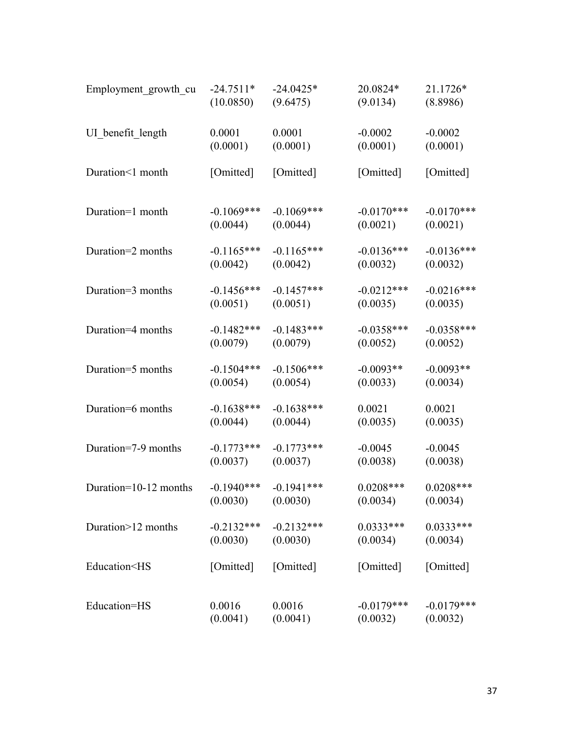| Employment_growth_cu                                                                                | $-24.7511*$  | $-24.0425*$   | 20.0824*     | 21.1726*     |
|-----------------------------------------------------------------------------------------------------|--------------|---------------|--------------|--------------|
|                                                                                                     | (10.0850)    | (9.6475)      | (9.0134)     | (8.8986)     |
| UI benefit length                                                                                   | 0.0001       | 0.0001        | $-0.0002$    | $-0.0002$    |
|                                                                                                     | (0.0001)     | (0.0001)      | (0.0001)     | (0.0001)     |
| Duration<1 month                                                                                    | [Omitted]    | [Omitted]     | [Omitted]    | [Omitted]    |
| Duration=1 month                                                                                    | $-0.1069***$ | $-0.1069$ *** | $-0.0170***$ | $-0.0170***$ |
|                                                                                                     | (0.0044)     | (0.0044)      | (0.0021)     | (0.0021)     |
| Duration=2 months                                                                                   | $-0.1165***$ | $-0.1165***$  | $-0.0136***$ | $-0.0136***$ |
|                                                                                                     | (0.0042)     | (0.0042)      | (0.0032)     | (0.0032)     |
| Duration=3 months                                                                                   | $-0.1456***$ | $-0.1457***$  | $-0.0212***$ | $-0.0216***$ |
|                                                                                                     | (0.0051)     | (0.0051)      | (0.0035)     | (0.0035)     |
| Duration=4 months                                                                                   | $-0.1482***$ | $-0.1483***$  | $-0.0358***$ | $-0.0358***$ |
|                                                                                                     | (0.0079)     | (0.0079)      | (0.0052)     | (0.0052)     |
| Duration=5 months                                                                                   | $-0.1504***$ | $-0.1506***$  | $-0.0093**$  | $-0.0093**$  |
|                                                                                                     | (0.0054)     | (0.0054)      | (0.0033)     | (0.0034)     |
| Duration=6 months                                                                                   | $-0.1638***$ | $-0.1638***$  | 0.0021       | 0.0021       |
|                                                                                                     | (0.0044)     | (0.0044)      | (0.0035)     | (0.0035)     |
| Duration=7-9 months                                                                                 | $-0.1773***$ | $-0.1773***$  | $-0.0045$    | $-0.0045$    |
|                                                                                                     | (0.0037)     | (0.0037)      | (0.0038)     | (0.0038)     |
| Duration=10-12 months                                                                               | $-0.1940***$ | $-0.1941***$  | $0.0208***$  | $0.0208***$  |
|                                                                                                     | (0.0030)     | (0.0030)      | (0.0034)     | (0.0034)     |
| Duration>12 months                                                                                  | $-0.2132***$ | $-0.2132***$  | $0.0333***$  | $0.0333***$  |
|                                                                                                     | (0.0030)     | (0.0030)      | (0.0034)     | (0.0034)     |
| Education <hs< td=""><td>[Omitted]</td><td>[Omitted]</td><td>[Omitted]</td><td>[Omitted]</td></hs<> | [Omitted]    | [Omitted]     | [Omitted]    | [Omitted]    |
| Education=HS                                                                                        | 0.0016       | 0.0016        | $-0.0179***$ | $-0.0179***$ |
|                                                                                                     | (0.0041)     | (0.0041)      | (0.0032)     | (0.0032)     |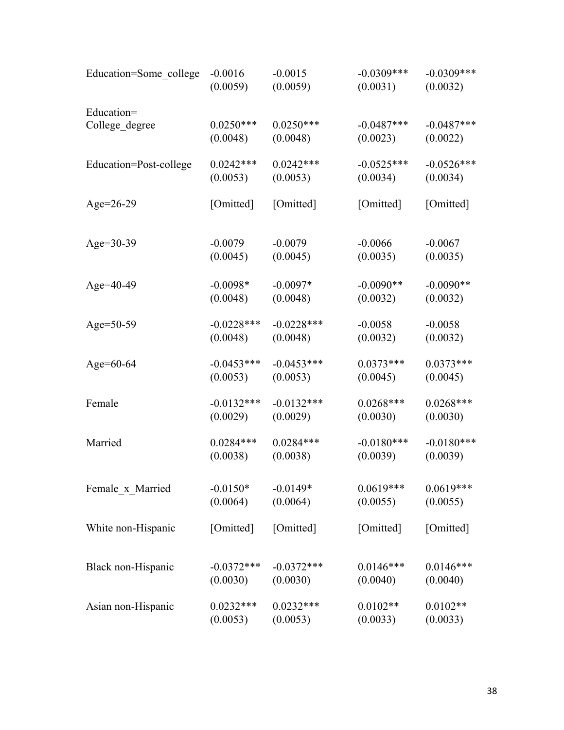| Education=Some_college | $-0.0016$    | $-0.0015$    | $-0.0309***$ | $-0.0309***$ |
|------------------------|--------------|--------------|--------------|--------------|
|                        | (0.0059)     | (0.0059)     | (0.0031)     | (0.0032)     |
| Education=             | $0.0250***$  | $0.0250***$  | $-0.0487***$ | $-0.0487***$ |
| College_degree         | (0.0048)     | (0.0048)     | (0.0023)     | (0.0022)     |
| Education=Post-college | $0.0242***$  | $0.0242***$  | $-0.0525***$ | $-0.0526***$ |
|                        | (0.0053)     | (0.0053)     | (0.0034)     | (0.0034)     |
| Age= $26-29$           | [Omitted]    | [Omitted]    | [Omitted]    |              |
| Age= $30-39$           | $-0.0079$    | $-0.0079$    | $-0.0066$    | $-0.0067$    |
|                        | (0.0045)     | (0.0045)     | (0.0035)     | (0.0035)     |
| Age= $40-49$           | $-0.0098*$   | $-0.0097*$   | $-0.0090**$  | $-0.0090**$  |
|                        | (0.0048)     | (0.0048)     | (0.0032)     | (0.0032)     |
| Age= $50-59$           | $-0.0228***$ | $-0.0228***$ | $-0.0058$    | $-0.0058$    |
|                        | (0.0048)     | (0.0048)     | (0.0032)     | (0.0032)     |
| Age= $60-64$           | $-0.0453***$ | $-0.0453***$ | $0.0373***$  | $0.0373***$  |
|                        | (0.0053)     | (0.0053)     | (0.0045)     | (0.0045)     |
| Female                 | $-0.0132***$ | $-0.0132***$ | $0.0268***$  | $0.0268***$  |
|                        | (0.0029)     | (0.0029)     | (0.0030)     | (0.0030)     |
| Married                | $0.0284***$  | $0.0284***$  | $-0.0180***$ | $-0.0180***$ |
|                        | (0.0038)     | (0.0038)     | (0.0039)     | (0.0039)     |
| Female x Married       | $-0.0150*$   | $-0.0149*$   | $0.0619***$  | $0.0619***$  |
|                        | (0.0064)     | (0.0064)     | (0.0055)     | (0.0055)     |
| White non-Hispanic     | [Omitted]    | [Omitted]    | [Omitted]    | [Omitted]    |
| Black non-Hispanic     | $-0.0372***$ | $-0.0372***$ | $0.0146***$  | $0.0146***$  |
|                        | (0.0030)     | (0.0030)     | (0.0040)     | (0.0040)     |
| Asian non-Hispanic     | $0.0232***$  | $0.0232***$  | $0.0102**$   | $0.0102**$   |
|                        | (0.0053)     | (0.0053)     | (0.0033)     | (0.0033)     |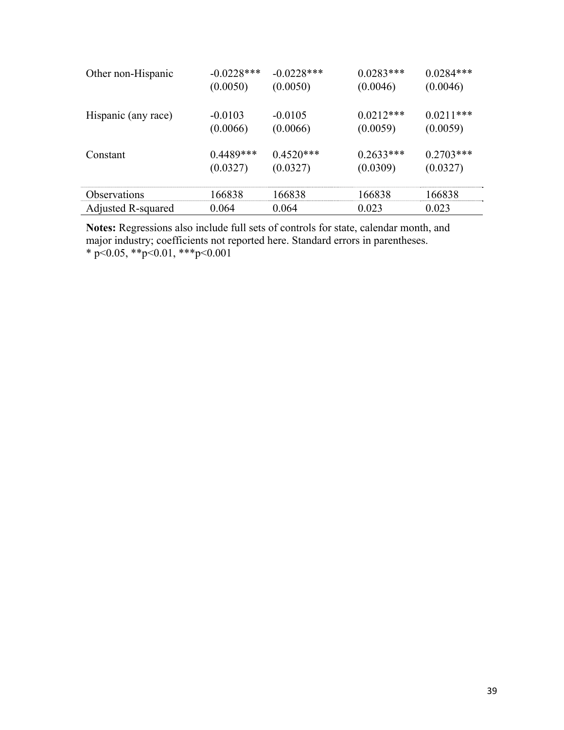| Other non-Hispanic  | $-0.0228***$ | $-0.0228$ *** | $0.0283***$ | $0.0284***$ |
|---------------------|--------------|---------------|-------------|-------------|
|                     | (0.0050)     | (0.0050)      | (0.0046)    | (0.0046)    |
|                     |              |               |             |             |
| Hispanic (any race) | $-0.0103$    | $-0.0105$     | $0.0212***$ | $0.0211***$ |
|                     | (0.0066)     | (0.0066)      | (0.0059)    | (0.0059)    |
|                     |              |               |             |             |
| Constant            | $0.4489***$  | $0.4520***$   | $0.2633***$ | $0.2703***$ |
|                     | (0.0327)     | (0.0327)      | (0.0309)    | (0.0327)    |
|                     |              |               |             |             |
| <b>Observations</b> | 166838       | 166838        | 166838      | 166838      |
| Adjusted R-squared  | 0.064        | 0.064         | 0.023       | 0.023       |

**Notes:** Regressions also include full sets of controls for state, calendar month, and major industry; coefficients not reported here. Standard errors in parentheses.  $*$  p<0.05,  $*$  $*$ p<0.01,  $*$  $*$  $*$ p<0.001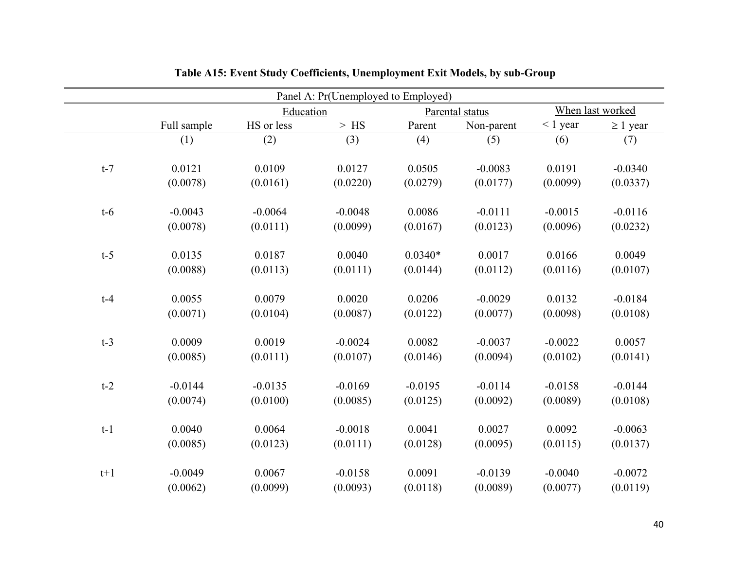|       | Panel A: Pr(Unemployed to Employed) |            |             |           |                 |            |                  |  |
|-------|-------------------------------------|------------|-------------|-----------|-----------------|------------|------------------|--|
|       |                                     | Education  |             |           | Parental status |            | When last worked |  |
|       | Full sample                         | HS or less | $>$ HS $\,$ | Parent    | Non-parent      | $< 1$ year | $\geq 1$ year    |  |
|       | (1)                                 | (2)        | (3)         | (4)       | (5)             | (6)        | (7)              |  |
|       |                                     |            |             |           |                 |            |                  |  |
| $t-7$ | 0.0121                              | 0.0109     | 0.0127      | 0.0505    | $-0.0083$       | 0.0191     | $-0.0340$        |  |
|       | (0.0078)                            | (0.0161)   | (0.0220)    | (0.0279)  | (0.0177)        | (0.0099)   | (0.0337)         |  |
|       |                                     |            |             |           |                 |            |                  |  |
| $t-6$ | $-0.0043$                           | $-0.0064$  | $-0.0048$   | 0.0086    | $-0.0111$       | $-0.0015$  | $-0.0116$        |  |
|       | (0.0078)                            | (0.0111)   | (0.0099)    | (0.0167)  | (0.0123)        | (0.0096)   | (0.0232)         |  |
|       |                                     |            |             |           |                 |            |                  |  |
| $t-5$ | 0.0135                              | 0.0187     | 0.0040      | $0.0340*$ | 0.0017          | 0.0166     | 0.0049           |  |
|       | (0.0088)                            | (0.0113)   | (0.0111)    | (0.0144)  | (0.0112)        | (0.0116)   | (0.0107)         |  |
|       |                                     |            |             |           |                 |            |                  |  |
| $t-4$ | 0.0055                              | 0.0079     | 0.0020      | 0.0206    | $-0.0029$       | 0.0132     | $-0.0184$        |  |
|       | (0.0071)                            | (0.0104)   | (0.0087)    | (0.0122)  | (0.0077)        | (0.0098)   | (0.0108)         |  |
|       |                                     |            |             |           |                 |            |                  |  |
| $t-3$ | 0.0009                              | 0.0019     | $-0.0024$   | 0.0082    | $-0.0037$       | $-0.0022$  | 0.0057           |  |
|       | (0.0085)                            | (0.0111)   | (0.0107)    | (0.0146)  | (0.0094)        | (0.0102)   | (0.0141)         |  |
|       |                                     |            |             |           |                 |            |                  |  |
| $t-2$ | $-0.0144$                           | $-0.0135$  | $-0.0169$   | $-0.0195$ | $-0.0114$       | $-0.0158$  | $-0.0144$        |  |
|       | (0.0074)                            | (0.0100)   | (0.0085)    | (0.0125)  | (0.0092)        | (0.0089)   | (0.0108)         |  |
|       |                                     |            |             |           |                 |            |                  |  |
| $t-1$ | 0.0040                              | 0.0064     | $-0.0018$   | 0.0041    | 0.0027          | 0.0092     | $-0.0063$        |  |
|       | (0.0085)                            | (0.0123)   | (0.0111)    | (0.0128)  | (0.0095)        | (0.0115)   | (0.0137)         |  |
|       |                                     |            |             |           |                 |            |                  |  |
| $t+1$ | $-0.0049$                           | 0.0067     | $-0.0158$   | 0.0091    | $-0.0139$       | $-0.0040$  | $-0.0072$        |  |
|       | (0.0062)                            | (0.0099)   | (0.0093)    | (0.0118)  | (0.0089)        | (0.0077)   | (0.0119)         |  |

# **Table A15: Event Study Coefficients, Unemployment Exit Models, by sub-Group**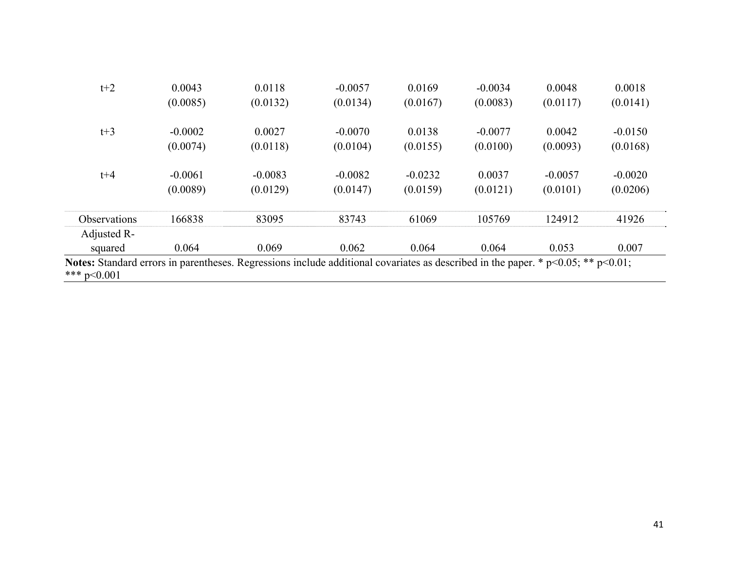| $t+2$                                                                                                                                                 | 0.0043    | 0.0118    | $-0.0057$ | 0.0169    | $-0.0034$ | 0.0048    | 0.0018    |
|-------------------------------------------------------------------------------------------------------------------------------------------------------|-----------|-----------|-----------|-----------|-----------|-----------|-----------|
|                                                                                                                                                       | (0.0085)  | (0.0132)  | (0.0134)  | (0.0167)  | (0.0083)  | (0.0117)  | (0.0141)  |
| $t+3$                                                                                                                                                 | $-0.0002$ | 0.0027    | $-0.0070$ | 0.0138    | $-0.0077$ | 0.0042    | $-0.0150$ |
|                                                                                                                                                       | (0.0074)  | (0.0118)  | (0.0104)  | (0.0155)  | (0.0100)  | (0.0093)  | (0.0168)  |
| $t + 4$                                                                                                                                               | $-0.0061$ | $-0.0083$ | $-0.0082$ | $-0.0232$ | 0.0037    | $-0.0057$ | $-0.0020$ |
|                                                                                                                                                       | (0.0089)  | (0.0129)  | (0.0147)  | (0.0159)  | (0.0121)  | (0.0101)  | (0.0206)  |
| Observations                                                                                                                                          | 166838    | 83095     | 83743     | 61069     | 105769    | 124912    | 41926     |
| Adjusted R-                                                                                                                                           |           |           |           |           |           |           |           |
| squared                                                                                                                                               | 0.064     | 0.069     | 0.062     | 0.064     | 0.064     | 0.053     | 0.007     |
| Notes: Standard errors in parentheses. Regressions include additional covariates as described in the paper. $*$ p<0.05; $**$ p<0.01;<br>*** $p<0.001$ |           |           |           |           |           |           |           |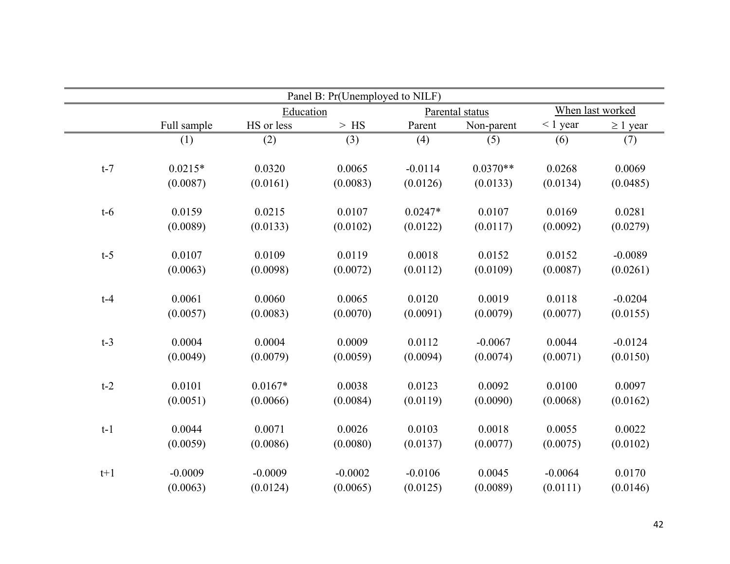| Panel B: Pr(Unemployed to NILF) |             |            |           |           |                 |               |                  |  |
|---------------------------------|-------------|------------|-----------|-----------|-----------------|---------------|------------------|--|
|                                 |             | Education  |           |           | Parental status |               | When last worked |  |
|                                 | Full sample | HS or less | $>$ HS    | Parent    | Non-parent      | $\leq 1$ year | $\geq 1$ year    |  |
|                                 | (1)         | (2)        | (3)       | (4)       | (5)             | (6)           | (7)              |  |
| $t-7$                           | $0.0215*$   | 0.0320     | 0.0065    | $-0.0114$ | $0.0370**$      | 0.0268        | 0.0069           |  |
|                                 | (0.0087)    | (0.0161)   | (0.0083)  | (0.0126)  | (0.0133)        | (0.0134)      | (0.0485)         |  |
| $t-6$                           | 0.0159      | 0.0215     | 0.0107    | $0.0247*$ | 0.0107          | 0.0169        | 0.0281           |  |
|                                 | (0.0089)    | (0.0133)   | (0.0102)  | (0.0122)  | (0.0117)        | (0.0092)      | (0.0279)         |  |
| $t-5$                           | 0.0107      | 0.0109     | 0.0119    | 0.0018    | 0.0152          | 0.0152        | $-0.0089$        |  |
|                                 | (0.0063)    | (0.0098)   | (0.0072)  | (0.0112)  | (0.0109)        | (0.0087)      | (0.0261)         |  |
| $t-4$                           | 0.0061      | 0.0060     | 0.0065    | 0.0120    | 0.0019          | 0.0118        | $-0.0204$        |  |
|                                 | (0.0057)    | (0.0083)   | (0.0070)  | (0.0091)  | (0.0079)        | (0.0077)      | (0.0155)         |  |
| $t-3$                           | 0.0004      | 0.0004     | 0.0009    | 0.0112    | $-0.0067$       | 0.0044        | $-0.0124$        |  |
|                                 | (0.0049)    | (0.0079)   | (0.0059)  | (0.0094)  | (0.0074)        | (0.0071)      | (0.0150)         |  |
| $t-2$                           | 0.0101      | $0.0167*$  | 0.0038    | 0.0123    | 0.0092          | 0.0100        | 0.0097           |  |
|                                 | (0.0051)    | (0.0066)   | (0.0084)  | (0.0119)  | (0.0090)        | (0.0068)      | (0.0162)         |  |
| $t-1$                           | 0.0044      | 0.0071     | 0.0026    | 0.0103    | 0.0018          | 0.0055        | 0.0022           |  |
|                                 | (0.0059)    | (0.0086)   | (0.0080)  | (0.0137)  | (0.0077)        | (0.0075)      | (0.0102)         |  |
| $t+1$                           | $-0.0009$   | $-0.0009$  | $-0.0002$ | $-0.0106$ | 0.0045          | $-0.0064$     | 0.0170           |  |
|                                 | (0.0063)    | (0.0124)   | (0.0065)  | (0.0125)  | (0.0089)        | (0.0111)      | (0.0146)         |  |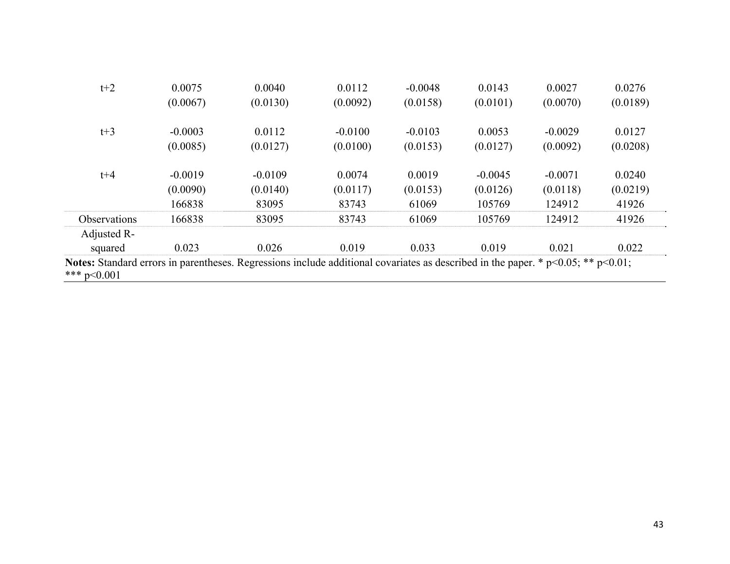| $t+2$                                                                                                                                                 | 0.0075    | 0.0040    | 0.0112    | $-0.0048$ | 0.0143    | 0.0027    | 0.0276   |
|-------------------------------------------------------------------------------------------------------------------------------------------------------|-----------|-----------|-----------|-----------|-----------|-----------|----------|
|                                                                                                                                                       | (0.0067)  | (0.0130)  | (0.0092)  | (0.0158)  | (0.0101)  | (0.0070)  | (0.0189) |
| $t+3$                                                                                                                                                 | $-0.0003$ | 0.0112    | $-0.0100$ | $-0.0103$ | 0.0053    | $-0.0029$ | 0.0127   |
|                                                                                                                                                       | (0.0085)  | (0.0127)  | (0.0100)  | (0.0153)  | (0.0127)  | (0.0092)  | (0.0208) |
| $t + 4$                                                                                                                                               | $-0.0019$ | $-0.0109$ | 0.0074    | 0.0019    | $-0.0045$ | $-0.0071$ | 0.0240   |
|                                                                                                                                                       | (0.0090)  | (0.0140)  | (0.0117)  | (0.0153)  | (0.0126)  | (0.0118)  | (0.0219) |
|                                                                                                                                                       | 166838    | 83095     | 83743     | 61069     | 105769    | 124912    | 41926    |
| Observations                                                                                                                                          | 166838    | 83095     | 83743     | 61069     | 105769    | 124912    | 41926    |
| Adjusted R-                                                                                                                                           |           |           |           |           |           |           |          |
| squared                                                                                                                                               | 0.023     | 0.026     | 0.019     | 0.033     | 0.019     | 0.021     | 0.022    |
| Notes: Standard errors in parentheses. Regressions include additional covariates as described in the paper. $*$ p<0.05; $**$ p<0.01;<br>*** $p<0.001$ |           |           |           |           |           |           |          |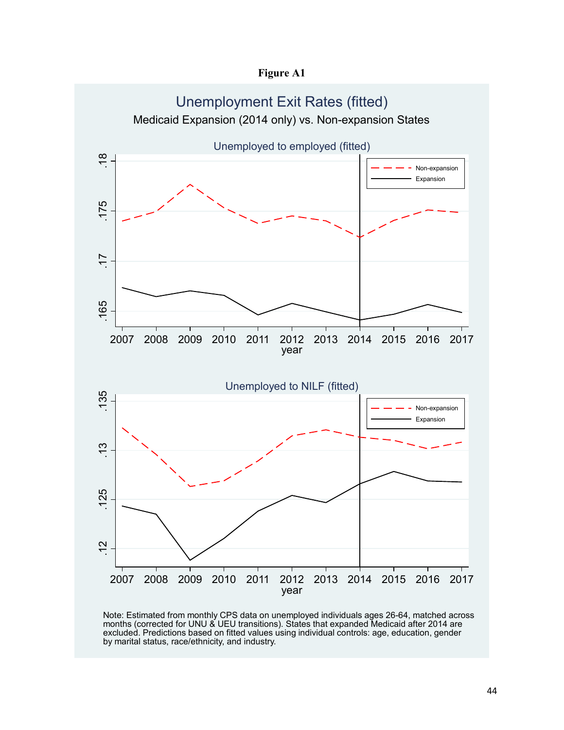**Figure A1** 



Note: Estimated from monthly CPS data on unemployed individuals ages 26-64, matched across months (corrected for UNU & UEU transitions). States that expanded Medicaid after 2014 are excluded. Predictions based on fitted values using individual controls: age, education, gender by marital status, race/ethnicity, and industry.